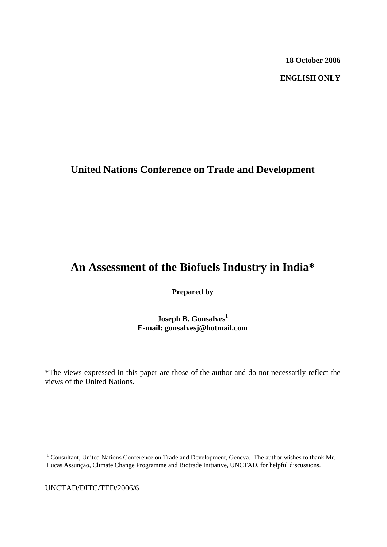**18 October 2006** 

 **ENGLISH ONLY**

# **United Nations Conference on Trade and Development**

# **An Assessment of the Biofuels Industry in India\***

**Prepared by** 

**Joseph B. Gonsalves**<sup>1</sup> **E-mail: gonsalvesj@hotmail.com** 

\*The views expressed in this paper are those of the author and do not necessarily reflect the views of the United Nations.

UNCTAD/DITC/TED/2006/6

<span id="page-0-0"></span><sup>&</sup>lt;sup>1</sup> Consultant, United Nations Conference on Trade and Development, Geneva. The author wishes to thank Mr. Lucas Assunção, Climate Change Programme and Biotrade Initiative, UNCTAD, for helpful discussions.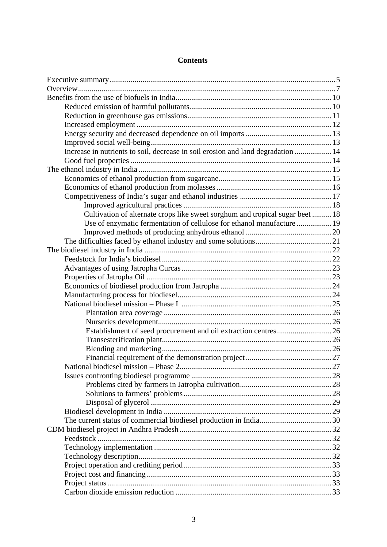## **Contents**

| Increase in nutrients to soil, decrease in soil erosion and land degradation  14 |  |
|----------------------------------------------------------------------------------|--|
|                                                                                  |  |
|                                                                                  |  |
|                                                                                  |  |
|                                                                                  |  |
|                                                                                  |  |
|                                                                                  |  |
| Cultivation of alternate crops like sweet sorghum and tropical sugar beet  18    |  |
| Use of enzymatic fermentation of cellulose for ethanol manufacture  19           |  |
|                                                                                  |  |
|                                                                                  |  |
|                                                                                  |  |
|                                                                                  |  |
|                                                                                  |  |
|                                                                                  |  |
|                                                                                  |  |
|                                                                                  |  |
|                                                                                  |  |
|                                                                                  |  |
|                                                                                  |  |
| Establishment of seed procurement and oil extraction centres26                   |  |
|                                                                                  |  |
|                                                                                  |  |
|                                                                                  |  |
|                                                                                  |  |
|                                                                                  |  |
|                                                                                  |  |
|                                                                                  |  |
|                                                                                  |  |
|                                                                                  |  |
|                                                                                  |  |
|                                                                                  |  |
|                                                                                  |  |
|                                                                                  |  |
|                                                                                  |  |
|                                                                                  |  |
|                                                                                  |  |
|                                                                                  |  |
|                                                                                  |  |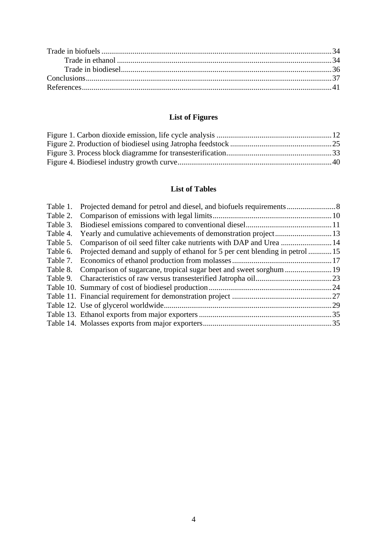## **List of Figures**

### **List of Tables**

| 29                                                                           |
|------------------------------------------------------------------------------|
|                                                                              |
|                                                                              |
| Projected demand and supply of ethanol for 5 per cent blending in petrol  15 |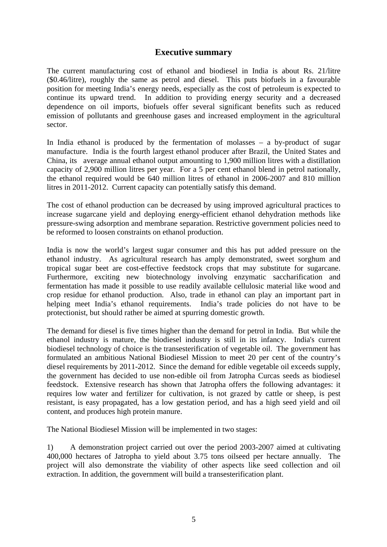## **Executive summary**

<span id="page-4-0"></span>The current manufacturing cost of ethanol and biodiesel in India is about Rs. 21/litre (\$0.46/litre), roughly the same as petrol and diesel. This puts biofuels in a favourable position for meeting India's energy needs, especially as the cost of petroleum is expected to continue its upward trend. In addition to providing energy security and a decreased dependence on oil imports, biofuels offer several significant benefits such as reduced emission of pollutants and greenhouse gases and increased employment in the agricultural sector.

In India ethanol is produced by the fermentation of molasses – a by-product of sugar manufacture. India is the fourth largest ethanol producer after Brazil, the United States and China, its average annual ethanol output amounting to 1,900 million litres with a distillation capacity of 2,900 million litres per year. For a 5 per cent ethanol blend in petrol nationally, the ethanol required would be 640 million litres of ethanol in 2006-2007 and 810 million litres in 2011-2012. Current capacity can potentially satisfy this demand.

The cost of ethanol production can be decreased by using improved agricultural practices to increase sugarcane yield and deploying energy-efficient ethanol dehydration methods like pressure-swing adsorption and membrane separation. Restrictive government policies need to be reformed to loosen constraints on ethanol production.

India is now the world's largest sugar consumer and this has put added pressure on the ethanol industry. As agricultural research has amply demonstrated, sweet sorghum and tropical sugar beet are cost-effective feedstock crops that may substitute for sugarcane. Furthermore, exciting new biotechnology involving enzymatic saccharification and fermentation has made it possible to use readily available cellulosic material like wood and crop residue for ethanol production. Also, trade in ethanol can play an important part in helping meet India's ethanol requirements. India's trade policies do not have to be protectionist, but should rather be aimed at spurring domestic growth.

The demand for diesel is five times higher than the demand for petrol in India. But while the ethanol industry is mature, the biodiesel industry is still in its infancy. India's current biodiesel technology of choice is the transesterification of vegetable oil. The government has formulated an ambitious National Biodiesel Mission to meet 20 per cent of the country's diesel requirements by 2011-2012. Since the demand for edible vegetable oil exceeds supply, the government has decided to use non-edible oil from Jatropha Curcas seeds as biodiesel feedstock. Extensive research has shown that Jatropha offers the following advantages: it requires low water and fertilizer for cultivation, is not grazed by cattle or sheep, is pest resistant, is easy propagated, has a low gestation period, and has a high seed yield and oil content, and produces high protein manure.

The National Biodiesel Mission will be implemented in two stages:

1) A demonstration project carried out over the period 2003-2007 aimed at cultivating 400,000 hectares of Jatropha to yield about 3.75 tons oilseed per hectare annually. The project will also demonstrate the viability of other aspects like seed collection and oil extraction. In addition, the government will build a transesterification plant.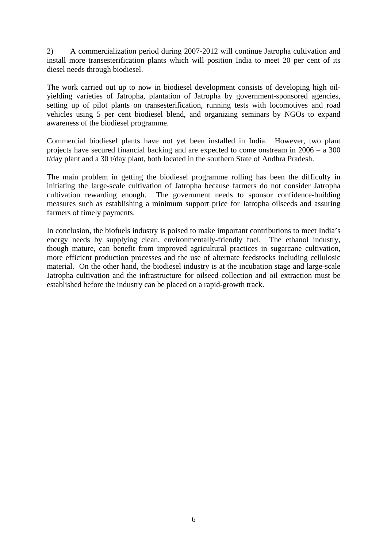2) A commercialization period during 2007-2012 will continue Jatropha cultivation and install more transesterification plants which will position India to meet 20 per cent of its diesel needs through biodiesel.

The work carried out up to now in biodiesel development consists of developing high oilyielding varieties of Jatropha, plantation of Jatropha by government-sponsored agencies, setting up of pilot plants on transesterification, running tests with locomotives and road vehicles using 5 per cent biodiesel blend, and organizing seminars by NGOs to expand awareness of the biodiesel programme.

Commercial biodiesel plants have not yet been installed in India. However, two plant projects have secured financial backing and are expected to come onstream in 2006 – a 300 t/day plant and a 30 t/day plant, both located in the southern State of Andhra Pradesh.

The main problem in getting the biodiesel programme rolling has been the difficulty in initiating the large-scale cultivation of Jatropha because farmers do not consider Jatropha cultivation rewarding enough. The government needs to sponsor confidence-building measures such as establishing a minimum support price for Jatropha oilseeds and assuring farmers of timely payments.

In conclusion, the biofuels industry is poised to make important contributions to meet India's energy needs by supplying clean, environmentally-friendly fuel. The ethanol industry, though mature, can benefit from improved agricultural practices in sugarcane cultivation, more efficient production processes and the use of alternate feedstocks including cellulosic material. On the other hand, the biodiesel industry is at the incubation stage and large-scale Jatropha cultivation and the infrastructure for oilseed collection and oil extraction must be established before the industry can be placed on a rapid-growth track.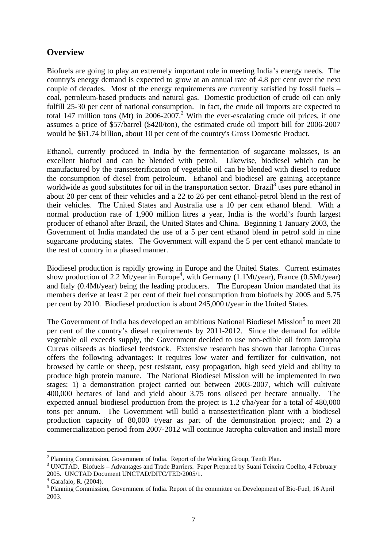## <span id="page-6-0"></span>**Overview**

Biofuels are going to play an extremely important role in meeting India's energy needs. The country's energy demand is expected to grow at an annual rate of 4.8 per cent over the next couple of decades. Most of the energy requirements are currently satisfied by fossil fuels – coal, petroleum-based products and natural gas. Domestic production of crude oil can only fulfill 25-30 per cent of national consumption. In fact, the crude oil imports are expected to total 147 million tons (Mt) in [2](#page-6-1)006-2007.<sup>2</sup> With the ever-escalating crude oil prices, if one assumes a price of \$57/barrel (\$420/ton), the estimated crude oil import bill for 2006-2007 would be \$61.74 billion, about 10 per cent of the country's Gross Domestic Product.

Ethanol, currently produced in India by the fermentation of sugarcane molasses, is an excellent biofuel and can be blended with petrol. Likewise, biodiesel which can be manufactured by the transesterification of vegetable oil can be blended with diesel to reduce the consumption of diesel from petroleum. Ethanol and biodiesel are gaining acceptance worldwide as good substitutes for oil in the transportation sector. Brazil<sup>[3](#page-6-2)</sup> uses pure ethanol in about 20 per cent of their vehicles and a 22 to 26 per cent ethanol-petrol blend in the rest of their vehicles. The United States and Australia use a 10 per cent ethanol blend. With a normal production rate of 1,900 million litres a year, India is the world's fourth largest producer of ethanol after Brazil, the United States and China. Beginning 1 January 2003, the Government of India mandated the use of a 5 per cent ethanol blend in petrol sold in nine sugarcane producing states. The Government will expand the 5 per cent ethanol mandate to the rest of country in a phased manner.

Biodiesel production is rapidly growing in Europe and the United States. Current estimates show production of 2.2 Mt/year in Europe<sup>4</sup>, with Germany (1.1Mt/year), France (0.5Mt/year) and Italy (0.4Mt/year) being the leading producers. The European Union mandated that its members derive at least 2 per cent of their fuel consumption from biofuels by 2005 and 5.75 per cent by 2010. Biodiesel production is about 245,000 t/year in the United States.

The Government of India has developed an ambitious National Biodiesel Mission<sup>[5](#page-6-4)</sup> to meet 20 per cent of the country's diesel requirements by 2011-2012. Since the demand for edible vegetable oil exceeds supply, the Government decided to use non-edible oil from Jatropha Curcas oilseeds as biodiesel feedstock. Extensive research has shown that Jatropha Curcas offers the following advantages: it requires low water and fertilizer for cultivation, not browsed by cattle or sheep, pest resistant, easy propagation, high seed yield and ability to produce high protein manure. The National Biodiesel Mission will be implemented in two stages: 1) a demonstration project carried out between 2003-2007, which will cultivate 400,000 hectares of land and yield about 3.75 tons oilseed per hectare annually. The expected annual biodiesel production from the project is 1.2 t/ha/year for a total of 480,000 tons per annum. The Government will build a transesterification plant with a biodiesel production capacity of 80,000 t/year as part of the demonstration project; and 2) a commercialization period from 2007-2012 will continue Jatropha cultivation and install more

<span id="page-6-1"></span><sup>&</sup>lt;sup>2</sup> Planning Commission, Government of India. Report of the Working Group, Tenth Plan.  $\frac{3}{3}$  UNCTAD, Rights Advantages and Trade Berriers. Report Property Waveni Toixoire

<span id="page-6-2"></span><sup>&</sup>lt;sup>3</sup> UNCTAD. Biofuels – Advantages and Trade Barriers. Paper Prepared by Suani Teixeira Coelho, 4 February 2005. UNCTAD Document UNCTAD/DITC/TED/2005/1. <sup>4</sup>

<span id="page-6-3"></span> $4\overline{G}$ Garafalo, R. (2004).

<span id="page-6-4"></span><sup>&</sup>lt;sup>5</sup> Planning Commission, Government of India. Report of the committee on Development of Bio-Fuel, 16 April 2003.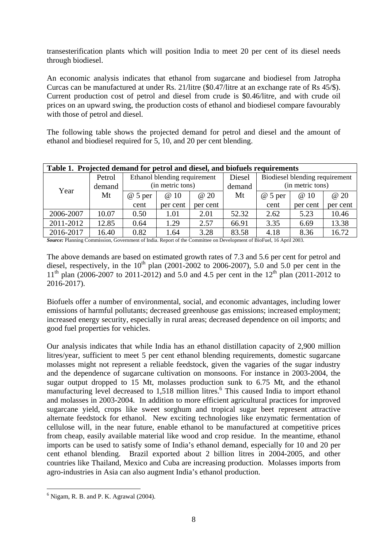<span id="page-7-0"></span>transesterification plants which will position India to meet 20 per cent of its diesel needs through biodiesel.

An economic analysis indicates that ethanol from sugarcane and biodiesel from Jatropha Curcas can be manufactured at under Rs. 21/litre (\$0.47/litre at an exchange rate of Rs 45/\$). Current production cost of petrol and diesel from crude is \$0.46/litre, and with crude oil prices on an upward swing, the production costs of ethanol and biodiesel compare favourably with those of petrol and diesel.

The following table shows the projected demand for petrol and diesel and the amount of ethanol and biodiesel required for 5, 10, and 20 per cent blending.

| Table 1. Projected demand for petrol and diesel, and biofuels requirements |        |                  |          |                                          |        |                  |          |          |  |
|----------------------------------------------------------------------------|--------|------------------|----------|------------------------------------------|--------|------------------|----------|----------|--|
| Ethanol blending requirement<br>Petrol                                     |        |                  |          | Biodiesel blending requirement<br>Diesel |        |                  |          |          |  |
| Year                                                                       | demand | (in metric tons) |          |                                          | demand | (in metric tons) |          |          |  |
| Mt                                                                         |        | $@5$ per         | @ 10     | @ 20                                     | Mt     | $@5$ per         | @ 10     | @ 20     |  |
|                                                                            |        | cent             | per cent | per cent                                 |        | cent             | per cent | per cent |  |
| 2006-2007                                                                  | 10.07  | 0.50             | 1.01     | 2.01                                     | 52.32  | 2.62             | 5.23     | 10.46    |  |
| 2011-2012                                                                  | 12.85  | 0.64             | 1.29     | 2.57                                     | 66.91  | 3.35             | 6.69     | 13.38    |  |
| 2016-2017                                                                  | 16.40  | 0.82             | 1.64     | 3.28                                     | 83.58  | 4.18             | 8.36     | 16.72    |  |

*Source:* Planning Commission, Government of India. Report of the Committee on Development of BioFuel, 16 April 2003.

The above demands are based on estimated growth rates of 7.3 and 5.6 per cent for petrol and diesel, respectively, in the  $10^{th}$  plan (2001-2002 to 2006-2007), 5.0 and 5.0 per cent in the  $11^{th}$  plan (2006-2007 to 2011-2012) and 5.0 and 4.5 per cent in the  $12^{th}$  plan (2011-2012 to 2016-2017).

Biofuels offer a number of environmental, social, and economic advantages, including lower emissions of harmful pollutants; decreased greenhouse gas emissions; increased employment; increased energy security, especially in rural areas; decreased dependence on oil imports; and good fuel properties for vehicles.

Our analysis indicates that while India has an ethanol distillation capacity of 2,900 million litres/year, sufficient to meet 5 per cent ethanol blending requirements, domestic sugarcane molasses might not represent a reliable feedstock, given the vagaries of the sugar industry and the dependence of sugarcane cultivation on monsoons. For instance in 2003-2004, the sugar output dropped to 15 Mt, molasses production sunk to 6.75 Mt, and the ethanol manufacturing level decreased to 1,518 million litres.<sup>[6](#page-7-1)</sup> This caused India to import ethanol and molasses in 2003-2004. In addition to more efficient agricultural practices for improved sugarcane yield, crops like sweet sorghum and tropical sugar beet represent attractive alternate feedstock for ethanol. New exciting technologies like enzymatic fermentation of cellulose will, in the near future, enable ethanol to be manufactured at competitive prices from cheap, easily available material like wood and crop residue. In the meantime, ethanol imports can be used to satisfy some of India's ethanol demand, especially for 10 and 20 per cent ethanol blending. Brazil exported about 2 billion litres in 2004-2005, and other countries like Thailand, Mexico and Cuba are increasing production. Molasses imports from agro-industries in Asia can also augment India's ethanol production.

<span id="page-7-1"></span> $<sup>6</sup>$  Nigam, R. B. and P. K. Agrawal (2004).</sup>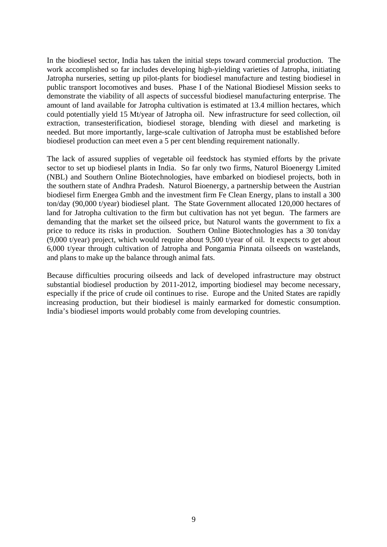In the biodiesel sector, India has taken the initial steps toward commercial production. The work accomplished so far includes developing high-yielding varieties of Jatropha, initiating Jatropha nurseries, setting up pilot-plants for biodiesel manufacture and testing biodiesel in public transport locomotives and buses. Phase I of the National Biodiesel Mission seeks to demonstrate the viability of all aspects of successful biodiesel manufacturing enterprise. The amount of land available for Jatropha cultivation is estimated at 13.4 million hectares, which could potentially yield 15 Mt/year of Jatropha oil. New infrastructure for seed collection, oil extraction, transesterification, biodiesel storage, blending with diesel and marketing is needed. But more importantly, large-scale cultivation of Jatropha must be established before biodiesel production can meet even a 5 per cent blending requirement nationally.

The lack of assured supplies of vegetable oil feedstock has stymied efforts by the private sector to set up biodiesel plants in India. So far only two firms, Naturol Bioenergy Limited (NBL) and Southern Online Biotechnologies, have embarked on biodiesel projects, both in the southern state of Andhra Pradesh. Naturol Bioenergy, a partnership between the Austrian biodiesel firm Energea Gmbh and the investment firm Fe Clean Energy, plans to install a 300 ton/day (90,000 t/year) biodiesel plant. The State Government allocated 120,000 hectares of land for Jatropha cultivation to the firm but cultivation has not yet begun. The farmers are demanding that the market set the oilseed price, but Naturol wants the government to fix a price to reduce its risks in production. Southern Online Biotechnologies has a 30 ton/day  $(9,000)$  t/year) project, which would require about 9,500 t/year of oil. It expects to get about 6,000 t/year through cultivation of Jatropha and Pongamia Pinnata oilseeds on wastelands, and plans to make up the balance through animal fats.

Because difficulties procuring oilseeds and lack of developed infrastructure may obstruct substantial biodiesel production by 2011-2012, importing biodiesel may become necessary, especially if the price of crude oil continues to rise. Europe and the United States are rapidly increasing production, but their biodiesel is mainly earmarked for domestic consumption. India's biodiesel imports would probably come from developing countries.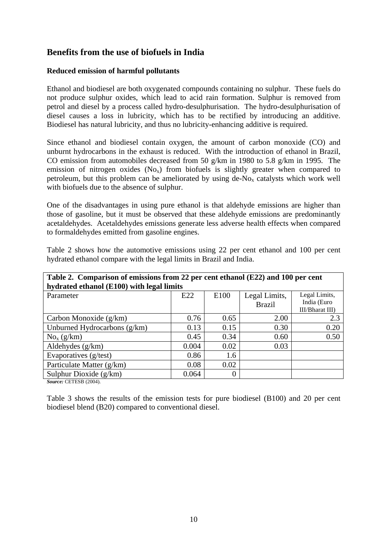## <span id="page-9-0"></span>**Benefits from the use of biofuels in India**

### **Reduced emission of harmful pollutants**

Ethanol and biodiesel are both oxygenated compounds containing no sulphur. These fuels do not produce sulphur oxides, which lead to acid rain formation. Sulphur is removed from petrol and diesel by a process called hydro-desulphurisation. The hydro-desulphurisation of diesel causes a loss in lubricity, which has to be rectified by introducing an additive. Biodiesel has natural lubricity, and thus no lubricity-enhancing additive is required.

Since ethanol and biodiesel contain oxygen, the amount of carbon monoxide (CO) and unburnt hydrocarbons in the exhaust is reduced. With the introduction of ethanol in Brazil, CO emission from automobiles decreased from 50 g/km in 1980 to 5.8 g/km in 1995. The emission of nitrogen oxides  $(No_x)$  from biofuels is slightly greater when compared to petroleum, but this problem can be ameliorated by using  $de-No_x$  catalysts which work well with biofuels due to the absence of sulphur.

One of the disadvantages in using pure ethanol is that aldehyde emissions are higher than those of gasoline, but it must be observed that these aldehyde emissions are predominantly acetaldehydes. Acetaldehydes emissions generate less adverse health effects when compared to formaldehydes emitted from gasoline engines.

| Table 2 shows how the automotive emissions using 22 per cent ethanol and 100 per cent |  |  |  |  |  |  |
|---------------------------------------------------------------------------------------|--|--|--|--|--|--|
| hydrated ethanol compare with the legal limits in Brazil and India.                   |  |  |  |  |  |  |

| Table 2. Comparison of emissions from 22 per cent ethanol (E22) and 100 per cent |       |          |                                |                                                 |  |  |  |  |  |
|----------------------------------------------------------------------------------|-------|----------|--------------------------------|-------------------------------------------------|--|--|--|--|--|
| hydrated ethanol (E100) with legal limits                                        |       |          |                                |                                                 |  |  |  |  |  |
| Parameter                                                                        | E22   | E100     | Legal Limits,<br><b>Brazil</b> | Legal Limits,<br>India (Euro<br>III/Bharat III) |  |  |  |  |  |
| Carbon Monoxide $(g/km)$                                                         | 0.76  | 0.65     | 2.00                           | 2.3                                             |  |  |  |  |  |
| Unburned Hydrocarbons $(g/km)$                                                   | 0.13  | 0.15     | 0.30                           | 0.20                                            |  |  |  |  |  |
| $No_x(g/km)$                                                                     | 0.45  | 0.34     | 0.60                           | 0.50                                            |  |  |  |  |  |
| Aldehydes $(g/km)$                                                               | 0.004 | 0.02     | 0.03                           |                                                 |  |  |  |  |  |
| Evaporatives (g/test)                                                            | 0.86  | 1.6      |                                |                                                 |  |  |  |  |  |
| Particulate Matter (g/km)                                                        | 0.08  | 0.02     |                                |                                                 |  |  |  |  |  |
| Sulphur Dioxide $(g/km)$                                                         | 0.064 | $\Omega$ |                                |                                                 |  |  |  |  |  |

*Source:* CETESB (2004).

Table 3 shows the results of the emission tests for pure biodiesel (B100) and 20 per cent biodiesel blend (B20) compared to conventional diesel.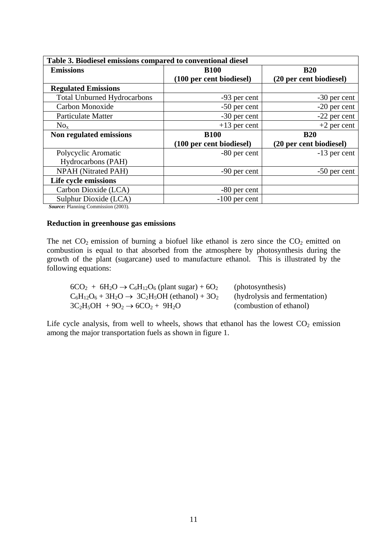<span id="page-10-0"></span>

| Table 3. Biodiesel emissions compared to conventional diesel |                          |                         |  |  |  |  |
|--------------------------------------------------------------|--------------------------|-------------------------|--|--|--|--|
| <b>Emissions</b>                                             | <b>B100</b>              | <b>B20</b>              |  |  |  |  |
|                                                              | (100 per cent biodiesel) | (20 per cent biodiesel) |  |  |  |  |
| <b>Regulated Emissions</b>                                   |                          |                         |  |  |  |  |
| <b>Total Unburned Hydrocarbons</b>                           | -93 per cent             | -30 per cent            |  |  |  |  |
| Carbon Monoxide                                              | -50 per cent             | $-20$ per cent          |  |  |  |  |
| <b>Particulate Matter</b>                                    | -30 per cent             | -22 per cent            |  |  |  |  |
| $No_x$                                                       | $+13$ per cent           | $+2$ per cent           |  |  |  |  |
| Non regulated emissions                                      | <b>B100</b>              | <b>B20</b>              |  |  |  |  |
|                                                              | (100 per cent biodiesel) | (20 per cent biodiesel) |  |  |  |  |
| Polycyclic Aromatic                                          | -80 per cent             | -13 per cent            |  |  |  |  |
| Hydrocarbons (PAH)                                           |                          |                         |  |  |  |  |
| <b>NPAH</b> (Nitrated PAH)                                   | -90 per cent             | -50 per cent            |  |  |  |  |
| Life cycle emissions                                         |                          |                         |  |  |  |  |
|                                                              |                          |                         |  |  |  |  |
| Carbon Dioxide (LCA)                                         | -80 per cent             |                         |  |  |  |  |

*Source:* Planning Commission (2003).

#### **Reduction in greenhouse gas emissions**

The net  $CO_2$  emission of burning a biofuel like ethanol is zero since the  $CO_2$  emitted on combustion is equal to that absorbed from the atmosphere by photosynthesis during the growth of the plant (sugarcane) used to manufacture ethanol. This is illustrated by the following equations:

| $6CO2 + 6H2O \rightarrow C6H12O6$ (plant sugar) + 6O <sub>2</sub>        | (photosynthesis)              |
|--------------------------------------------------------------------------|-------------------------------|
| $C_6H_{12}O_6 + 3H_2O \rightarrow 3C_2H_5OH$ (ethanol) + 3O <sub>2</sub> | (hydrolysis and fermentation) |
| $3C_2H_5OH + 9O_2 \rightarrow 6CO_2 + 9H_2O$                             | (combustion of ethanol)       |

Life cycle analysis, from well to wheels, shows that ethanol has the lowest  $CO<sub>2</sub>$  emission among the major transportation fuels as shown in figure 1.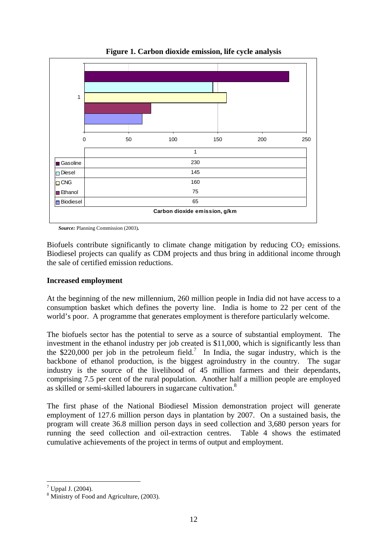<span id="page-11-0"></span>

**Figure 1. Carbon dioxide emission, life cycle analysis** 

*Source:* Planning Commission (2003)*.*

Biofuels contribute significantly to climate change mitigation by reducing  $CO<sub>2</sub>$  emissions. Biodiesel projects can qualify as CDM projects and thus bring in additional income through the sale of certified emission reductions.

#### **Increased employment**

At the beginning of the new millennium, 260 million people in India did not have access to a consumption basket which defines the poverty line. India is home to 22 per cent of the world's poor. A programme that generates employment is therefore particularly welcome.

The biofuels sector has the potential to serve as a source of substantial employment. The investment in the ethanol industry per job created is \$11,000, which is significantly less than the \$220,000 per job in the petroleum field.<sup>[7](#page-11-1)</sup> In India, the sugar industry, which is the backbone of ethanol production, is the biggest agroindustry in the country. The sugar industry is the source of the livelihood of 45 million farmers and their dependants, comprising 7.5 per cent of the rural population. Another half a million people are employed as skilled or semi-skilled labourers in sugarcane cultivation.<sup>8</sup>

The first phase of the National Biodiesel Mission demonstration project will generate employment of 127.6 million person days in plantation by 2007. On a sustained basis, the program will create 36.8 million person days in seed collection and 3,680 person years for running the seed collection and oil-extraction centres. Table 4 shows the estimated cumulative achievements of the project in terms of output and employment.

<span id="page-11-1"></span> $^7$  Uppal J. (2004).

<span id="page-11-2"></span><sup>&</sup>lt;sup>8</sup> Ministry of Food and Agriculture, (2003).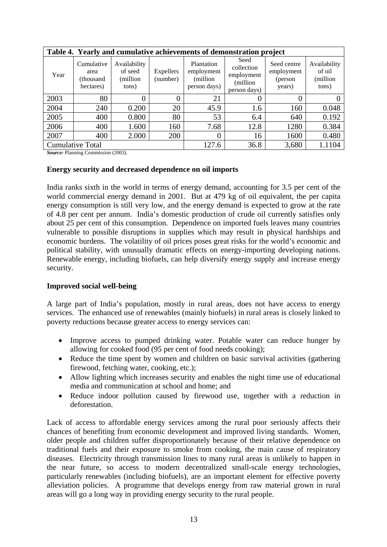<span id="page-12-0"></span>

| Table 4. Yearly and cumulative achievements of demonstration project |                                              |                                               |                       |                                                       |                                                               |                                                |                                             |  |  |  |
|----------------------------------------------------------------------|----------------------------------------------|-----------------------------------------------|-----------------------|-------------------------------------------------------|---------------------------------------------------------------|------------------------------------------------|---------------------------------------------|--|--|--|
| Year                                                                 | Cumulative<br>area<br>(thousand<br>hectares) | Availability<br>of seed<br>(million)<br>tons) | Expellers<br>(number) | Plantation<br>employment<br>(million)<br>person days) | Seed<br>collection<br>employment<br>(million)<br>person days) | Seed centre<br>employment<br>(person<br>years) | Availability<br>of oil<br>(million<br>tons) |  |  |  |
| 2003                                                                 | 80                                           | 0                                             |                       | 21                                                    | $\theta$                                                      |                                                |                                             |  |  |  |
| 2004                                                                 | 240                                          | 0.200                                         | 20                    | 45.9                                                  | 1.6                                                           | 160                                            | 0.048                                       |  |  |  |
| 2005                                                                 | 400                                          | 0.800                                         | 80                    | 53                                                    | 6.4                                                           | 640                                            | 0.192                                       |  |  |  |
| 2006                                                                 | 400                                          | 1.600                                         | 160                   | 7.68                                                  | 12.8                                                          | 1280                                           | 0.384                                       |  |  |  |
| 2007                                                                 | 400                                          | 2.000                                         | 200                   | 0                                                     | 16                                                            | 1600                                           | 0.480                                       |  |  |  |
|                                                                      | <b>Cumulative Total</b>                      |                                               |                       | 127.6                                                 | 36.8                                                          | 3,680                                          | 1.1104                                      |  |  |  |

*Source:* Planning Commission (2003).

#### **Energy security and decreased dependence on oil imports**

India ranks sixth in the world in terms of energy demand, accounting for 3.5 per cent of the world commercial energy demand in 2001. But at 479 kg of oil equivalent, the per capita energy consumption is still very low, and the energy demand is expected to grow at the rate of 4.8 per cent per annum. India's domestic production of crude oil currently satisfies only about 25 per cent of this consumption. Dependence on imported fuels leaves many countries vulnerable to possible disruptions in supplies which may result in physical hardships and economic burdens. The volatility of oil prices poses great risks for the world's economic and political stability, with unusually dramatic effects on energy-importing developing nations. Renewable energy, including biofuels, can help diversify energy supply and increase energy security.

#### **Improved social well-being**

A large part of India's population, mostly in rural areas, does not have access to energy services. The enhanced use of renewables (mainly biofuels) in rural areas is closely linked to poverty reductions because greater access to energy services can:

- Improve access to pumped drinking water. Potable water can reduce hunger by allowing for cooked food (95 per cent of food needs cooking);
- Reduce the time spent by women and children on basic survival activities (gathering firewood, fetching water, cooking, etc.);
- Allow lighting which increases security and enables the night time use of educational media and communication at school and home; and
- Reduce indoor pollution caused by firewood use, together with a reduction in deforestation.

Lack of access to affordable energy services among the rural poor seriously affects their chances of benefiting from economic development and improved living standards. Women, older people and children suffer disproportionately because of their relative dependence on traditional fuels and their exposure to smoke from cooking, the main cause of respiratory diseases. Electricity through transmission lines to many rural areas is unlikely to happen in the near future, so access to modern decentralized small-scale energy technologies, particularly renewables (including biofuels), are an important element for effective poverty alleviation policies. A programme that develops energy from raw material grown in rural areas will go a long way in providing energy security to the rural people.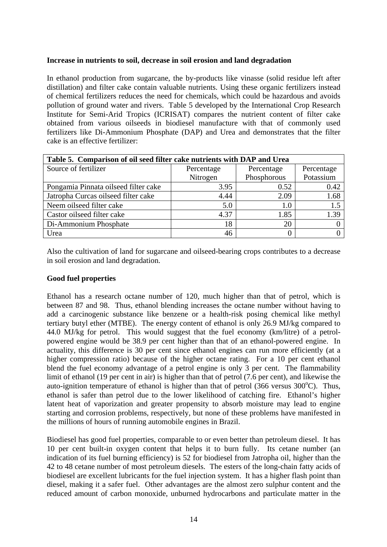#### <span id="page-13-0"></span>**Increase in nutrients to soil, decrease in soil erosion and land degradation**

In ethanol production from sugarcane, the by-products like vinasse (solid residue left after distillation) and filter cake contain valuable nutrients. Using these organic fertilizers instead of chemical fertilizers reduces the need for chemicals, which could be hazardous and avoids pollution of ground water and rivers. Table 5 developed by the International Crop Research Institute for Semi-Arid Tropics (ICRISAT) compares the nutrient content of filter cake obtained from various oilseeds in biodiesel manufacture with that of commonly used fertilizers like Di-Ammonium Phosphate (DAP) and Urea and demonstrates that the filter cake is an effective fertilizer:

| Table 5. Comparison of oil seed filter cake nutrients with DAP and Urea |            |             |            |  |  |  |  |
|-------------------------------------------------------------------------|------------|-------------|------------|--|--|--|--|
| Source of fertilizer                                                    | Percentage | Percentage  | Percentage |  |  |  |  |
|                                                                         | Nitrogen   | Phosphorous | Potassium  |  |  |  |  |
| Pongamia Pinnata oilseed filter cake                                    | 3.95       | 0.52        | 0.42       |  |  |  |  |
| Jatropha Curcas oilseed filter cake                                     | 4.44       | 2.09        | 1.68       |  |  |  |  |
| Neem oilseed filter cake                                                | 5.0        | 1.0         | 1.5        |  |  |  |  |
| Castor oilseed filter cake                                              | 4.37       | 1.85        | 1.39       |  |  |  |  |
| Di-Ammonium Phosphate                                                   | 18         | 20          |            |  |  |  |  |
| Urea                                                                    | 46         |             |            |  |  |  |  |

Also the cultivation of land for sugarcane and oilseed-bearing crops contributes to a decrease in soil erosion and land degradation.

#### **Good fuel properties**

Ethanol has a research octane number of 120, much higher than that of petrol, which is between 87 and 98. Thus, ethanol blending increases the octane number without having to add a carcinogenic substance like benzene or a health-risk posing chemical like methyl tertiary butyl ether (MTBE). The energy content of ethanol is only 26.9 MJ/kg compared to 44.0 MJ/kg for petrol. This would suggest that the fuel economy (km/litre) of a petrolpowered engine would be 38.9 per cent higher than that of an ethanol-powered engine. In actuality, this difference is 30 per cent since ethanol engines can run more efficiently (at a higher compression ratio) because of the higher octane rating. For a 10 per cent ethanol blend the fuel economy advantage of a petrol engine is only 3 per cent. The flammability limit of ethanol (19 per cent in air) is higher than that of petrol (7.6 per cent), and likewise the auto-ignition temperature of ethanol is higher than that of petrol  $(366 \text{ versus } 300^{\circ}\text{C})$ . Thus, ethanol is safer than petrol due to the lower likelihood of catching fire. Ethanol's higher latent heat of vaporization and greater propensity to absorb moisture may lead to engine starting and corrosion problems, respectively, but none of these problems have manifested in the millions of hours of running automobile engines in Brazil.

Biodiesel has good fuel properties, comparable to or even better than petroleum diesel. It has 10 per cent built-in oxygen content that helps it to burn fully. Its cetane number (an indication of its fuel burning efficiency) is 52 for biodiesel from Jatropha oil, higher than the 42 to 48 cetane number of most petroleum diesels. The esters of the long-chain fatty acids of biodiesel are excellent lubricants for the fuel injection system. It has a higher flash point than diesel, making it a safer fuel. Other advantages are the almost zero sulphur content and the reduced amount of carbon monoxide, unburned hydrocarbons and particulate matter in the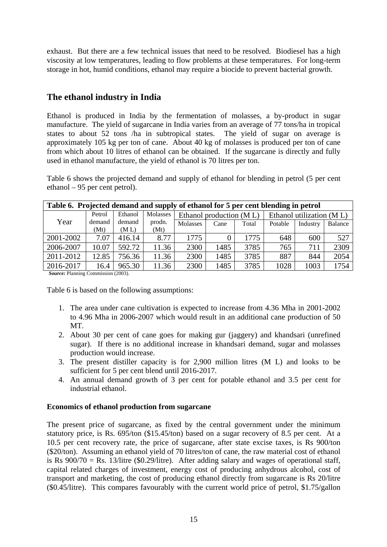<span id="page-14-0"></span>exhaust. But there are a few technical issues that need to be resolved. Biodiesel has a high viscosity at low temperatures, leading to flow problems at these temperatures. For long-term storage in hot, humid conditions, ethanol may require a biocide to prevent bacterial growth.

## **The ethanol industry in India**

Ethanol is produced in India by the fermentation of molasses, a by-product in sugar manufacture. The yield of sugarcane in India varies from an average of 77 tons/ha in tropical states to about 52 tons /ha in subtropical states. The yield of sugar on average is approximately 105 kg per ton of cane. About 40 kg of molasses is produced per ton of cane from which about 10 litres of ethanol can be obtained. If the sugarcane is directly and fully used in ethanol manufacture, the yield of ethanol is 70 litres per ton.

Table 6 shows the projected demand and supply of ethanol for blending in petrol (5 per cent ethanol – 95 per cent petrol).

| Table 6. Projected demand and supply of ethanol for 5 per cent blending in petrol |                |                |                |                                                     |      |       |         |          |         |  |
|-----------------------------------------------------------------------------------|----------------|----------------|----------------|-----------------------------------------------------|------|-------|---------|----------|---------|--|
| Molasses<br>Ethanol<br>Petrol                                                     |                |                |                | Ethanol utilization (ML)<br>Ethanol production (ML) |      |       |         |          |         |  |
| Year                                                                              | demand<br>(Mt) | demand<br>(ML) | prodn.<br>(Mt) | Molasses                                            | Cane | Total | Potable | Industry | Balance |  |
| 2001-2002                                                                         | 7.07           | 416.14         | 8.77           | 1775                                                |      | 1775  | 648     | 600      | 527     |  |
|                                                                                   |                |                |                |                                                     |      |       |         |          |         |  |
| 2006-2007                                                                         | 10.07          | 592.72         | 11.36          | 2300                                                | 1485 | 3785  | 765     | 711      | 2309    |  |
| 2011-2012                                                                         | 12.85          | 756.36         | 11.36          | 2300                                                | 1485 | 3785  | 887     | 844      | 2054    |  |
| 2016-2017                                                                         | 16.4           | 965.30         | 11.36          | 2300                                                | 1485 | 3785  | 1028    | 1003     | 1754    |  |

*Source:* Planning Commission (2003).

Table 6 is based on the following assumptions:

- 1. The area under cane cultivation is expected to increase from 4.36 Mha in 2001-2002 to 4.96 Mha in 2006-2007 which would result in an additional cane production of 50 MT.
- 2. About 30 per cent of cane goes for making gur (jaggery) and khandsari (unrefined sugar). If there is no additional increase in khandsari demand, sugar and molasses production would increase.
- 3. The present distiller capacity is for 2,900 million litres (M L) and looks to be sufficient for 5 per cent blend until 2016-2017.
- 4. An annual demand growth of 3 per cent for potable ethanol and 3.5 per cent for industrial ethanol.

## **Economics of ethanol production from sugarcane**

The present price of sugarcane, as fixed by the central government under the minimum statutory price, is Rs. 695/ton (\$15.45/ton) based on a sugar recovery of 8.5 per cent. At a 10.5 per cent recovery rate, the price of sugarcane, after state excise taxes, is Rs 900/ton (\$20/ton). Assuming an ethanol yield of 70 litres/ton of cane, the raw material cost of ethanol is Rs  $900/70 =$  Rs. 13/litre (\$0.29/litre). After adding salary and wages of operational staff, capital related charges of investment, energy cost of producing anhydrous alcohol, cost of transport and marketing, the cost of producing ethanol directly from sugarcane is Rs 20/litre (\$0.45/litre). This compares favourably with the current world price of petrol, \$1.75/gallon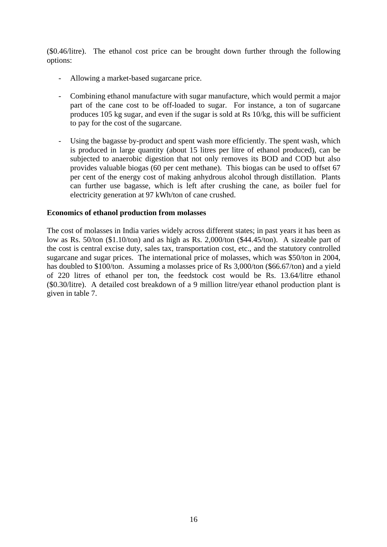<span id="page-15-0"></span>(\$0.46/litre). The ethanol cost price can be brought down further through the following options:

- Allowing a market-based sugarcane price.
- Combining ethanol manufacture with sugar manufacture, which would permit a major part of the cane cost to be off-loaded to sugar. For instance, a ton of sugarcane produces 105 kg sugar, and even if the sugar is sold at Rs 10/kg, this will be sufficient to pay for the cost of the sugarcane.
- Using the bagasse by-product and spent wash more efficiently. The spent wash, which is produced in large quantity (about 15 litres per litre of ethanol produced), can be subjected to anaerobic digestion that not only removes its BOD and COD but also provides valuable biogas (60 per cent methane). This biogas can be used to offset 67 per cent of the energy cost of making anhydrous alcohol through distillation. Plants can further use bagasse, which is left after crushing the cane, as boiler fuel for electricity generation at 97 kWh/ton of cane crushed.

#### **Economics of ethanol production from molasses**

The cost of molasses in India varies widely across different states; in past years it has been as low as Rs. 50/ton (\$1.10/ton) and as high as Rs. 2,000/ton (\$44.45/ton). A sizeable part of the cost is central excise duty, sales tax, transportation cost, etc., and the statutory controlled sugarcane and sugar prices. The international price of molasses, which was \$50/ton in 2004, has doubled to \$100/ton. Assuming a molasses price of Rs 3,000/ton (\$66.67/ton) and a yield of 220 litres of ethanol per ton, the feedstock cost would be Rs. 13.64/litre ethanol (\$0.30/litre). A detailed cost breakdown of a 9 million litre/year ethanol production plant is given in table 7.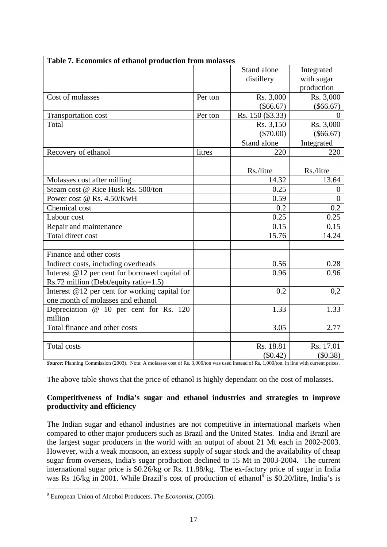<span id="page-16-0"></span>

| Table 7. Economics of ethanol production from molasses                                   |         |                           |                                        |
|------------------------------------------------------------------------------------------|---------|---------------------------|----------------------------------------|
|                                                                                          |         | Stand alone<br>distillery | Integrated<br>with sugar<br>production |
| Cost of molasses                                                                         | Per ton | Rs. 3,000<br>$(\$66.67)$  | Rs. 3,000<br>$(\$66.67)$               |
| Transportation cost                                                                      | Per ton | Rs. 150 (\$3.33)          | $\theta$                               |
| Total                                                                                    |         | Rs. 3,150<br>$(\$70.00)$  | Rs. 3,000<br>$(\$66.67)$               |
|                                                                                          |         | Stand alone               | Integrated                             |
| Recovery of ethanol                                                                      | litres  | 220                       | 220                                    |
|                                                                                          |         | Rs./litre                 | Rs./litre                              |
| Molasses cost after milling                                                              |         | 14.32                     | 13.64                                  |
| Steam cost @ Rice Husk Rs. 500/ton                                                       |         | 0.25                      | $\overline{0}$                         |
| Power cost @ Rs. 4.50/KwH                                                                |         | 0.59                      | $\theta$                               |
| Chemical cost                                                                            |         | 0.2                       | 0.2                                    |
| Labour cost                                                                              |         | 0.25                      | 0.25                                   |
| Repair and maintenance                                                                   |         | 0.15                      | 0.15                                   |
| Total direct cost                                                                        |         | 15.76                     | 14.24                                  |
| Finance and other costs                                                                  |         |                           |                                        |
| Indirect costs, including overheads                                                      |         | 0.56                      | 0.28                                   |
| Interest $@12$ per cent for borrowed capital of<br>Rs.72 million (Debt/equity ratio=1.5) |         | 0.96                      | 0.96                                   |
| Interest @12 per cent for working capital for<br>one month of molasses and ethanol       |         | 0.2                       | 0,2                                    |
| Depreciation $@$ 10 per cent for Rs. 120<br>million                                      |         | 1.33                      | 1.33                                   |
| Total finance and other costs                                                            |         | 3.05                      | 2.77                                   |
|                                                                                          |         |                           |                                        |
| <b>Total costs</b><br>$\mathbf{r}$<br>$\sim$ $\sim$                                      |         | Rs. 18.81<br>$(\$0.42)$   | Rs. 17.01<br>(\$0.38)                  |

*Source:* Planning Commission (2003). Note: A molasses cost of Rs. 3,000/ton was used instead of Rs. 1,000/ton, in line with current prices.

The above table shows that the price of ethanol is highly dependant on the cost of molasses.

## **Competitiveness of India's sugar and ethanol industries and strategies to improve productivity and efficiency**

The Indian sugar and ethanol industries are not competitive in international markets when compared to other major producers such as Brazil and the United States. India and Brazil are the largest sugar producers in the world with an output of about 21 Mt each in 2002-2003. However, with a weak monsoon, an excess supply of sugar stock and the availability of cheap sugar from overseas, India's sugar production declined to 15 Mt in 2003-2004. The current international sugar price is \$0.26/kg or Rs. 11.88/kg. The ex-factory price of sugar in India was Rs 16/kg in 2001. While Brazil's cost of production of ethanol<sup>[9](#page-16-1)</sup> is \$0.20/litre, India's is

<span id="page-16-1"></span><sup>9</sup> European Union of Alcohol Producers. *The Economist*, (2005).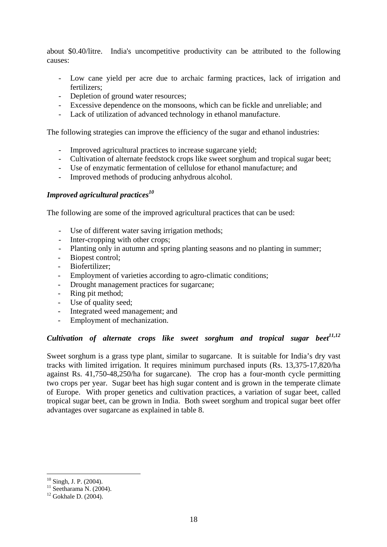<span id="page-17-0"></span>about \$0.40/litre. India's uncompetitive productivity can be attributed to the following causes:

- Low cane yield per acre due to archaic farming practices, lack of irrigation and fertilizers;
- Depletion of ground water resources;
- Excessive dependence on the monsoons, which can be fickle and unreliable; and
- Lack of utilization of advanced technology in ethanol manufacture.

The following strategies can improve the efficiency of the sugar and ethanol industries:

- Improved agricultural practices to increase sugarcane yield;
- Cultivation of alternate feedstock crops like sweet sorghum and tropical sugar beet;
- Use of enzymatic fermentation of cellulose for ethanol manufacture; and
- Improved methods of producing anhydrous alcohol.

#### *Improved agricultural practices[10](#page-17-1)*

The following are some of the improved agricultural practices that can be used:

- Use of different water saving irrigation methods;
- Inter-cropping with other crops:
- Planting only in autumn and spring planting seasons and no planting in summer;
- Biopest control:
- Biofertilizer;
- Employment of varieties according to agro-climatic conditions;
- Drought management practices for sugarcane;
- Ring pit method;
- Use of quality seed;
- Integrated weed management; and
- Employment of mechanization.

# *Cultivation of alternate crops like sweet sorghum and tropical sugar bee[t11,](#page-17-2)[12](#page-17-3)*

Sweet sorghum is a grass type plant, similar to sugarcane. It is suitable for India's dry vast tracks with limited irrigation. It requires minimum purchased inputs (Rs. 13,375-17,820/ha against Rs. 41,750-48,250/ha for sugarcane). The crop has a four-month cycle permitting two crops per year. Sugar beet has high sugar content and is grown in the temperate climate of Europe. With proper genetics and cultivation practices, a variation of sugar beet, called tropical sugar beet, can be grown in India. Both sweet sorghum and tropical sugar beet offer advantages over sugarcane as explained in table 8.

<span id="page-17-1"></span> $10$  Singh, J. P. (2004).

<span id="page-17-2"></span><sup>&</sup>lt;sup>11</sup> Seetharama N. (2004). <sup>12</sup> Gokhale D. (2004).

<span id="page-17-3"></span>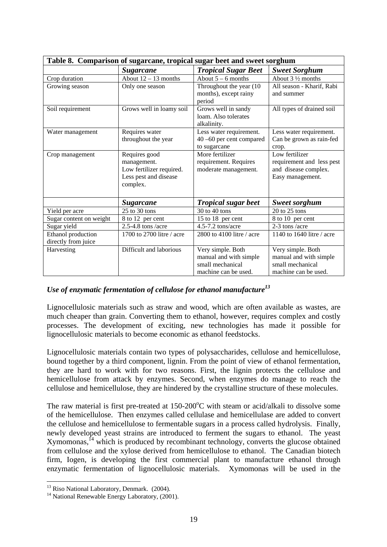<span id="page-18-0"></span>

|                                           | Table 8. Comparison of sugarcane, tropical sugar beet and sweet sorghum                       |                                                                                         |                                                                                         |
|-------------------------------------------|-----------------------------------------------------------------------------------------------|-----------------------------------------------------------------------------------------|-----------------------------------------------------------------------------------------|
|                                           | <b>Sugarcane</b>                                                                              | <b>Tropical Sugar Beet</b>                                                              | <b>Sweet Sorghum</b>                                                                    |
| Crop duration                             | About $12 - 13$ months                                                                        | About $5 - 6$ months                                                                    | About 3 1/2 months                                                                      |
| Growing season                            | Only one season                                                                               | Throughout the year (10<br>months), except rainy<br>period                              | All season - Kharif, Rabi<br>and summer                                                 |
| Soil requirement                          | Grows well in loamy soil                                                                      | Grows well in sandy<br>loam. Also tolerates<br>alkalinity.                              | All types of drained soil                                                               |
| Water management                          | Requires water<br>throughout the year                                                         | Less water requirement.<br>40 -60 per cent compared<br>to sugarcane                     | Less water requirement.<br>Can be grown as rain-fed<br>crop.                            |
| Crop management                           | Requires good<br>management.<br>Low fertilizer required.<br>Less pest and disease<br>complex. | More fertilizer<br>requirement. Requires<br>moderate management.                        | Low fertilizer<br>requirement and less pest<br>and disease complex.<br>Easy management. |
|                                           | <b>Sugarcane</b>                                                                              | <b>Tropical sugar beet</b>                                                              | <b>Sweet sorghum</b>                                                                    |
| Yield per acre                            | $25$ to $30$ tons                                                                             | 30 to 40 tons                                                                           | $20$ to $25$ tons                                                                       |
| Sugar content on weight                   | 8 to 12 per cent                                                                              | 15 to 18 per cent                                                                       | 8 to 10 per cent                                                                        |
| Sugar yield                               | $2.5 - 4.8$ tons /acre                                                                        | 4.5-7.2 tons/acre                                                                       | 2-3 tons /acre                                                                          |
| Ethanol production<br>directly from juice | 1700 to 2700 litre / acre                                                                     | 2800 to 4100 litre / acre                                                               | 1140 to 1640 litre / acre                                                               |
| Harvesting                                | Difficult and laborious                                                                       | Very simple. Both<br>manual and with simple<br>small mechanical<br>machine can be used. | Very simple. Both<br>manual and with simple<br>small mechanical<br>machine can be used. |

## *Use of enzymatic fermentation of cellulose for ethanol manufactur[e13](#page-18-1)*

Lignocellulosic materials such as straw and wood, which are often available as wastes, are much cheaper than grain. Converting them to ethanol, however, requires complex and costly processes. The development of exciting, new technologies has made it possible for lignocellulosic materials to become economic as ethanol feedstocks.

Lignocellulosic materials contain two types of polysaccharides, cellulose and hemicellulose, bound together by a third component, lignin. From the point of view of ethanol fermentation, they are hard to work with for two reasons. First, the lignin protects the cellulose and hemicellulose from attack by enzymes. Second, when enzymes do manage to reach the cellulose and hemicellulose, they are hindered by the crystalline structure of these molecules.

The raw material is first pre-treated at  $150{\text -}200^{\circ}$ C with steam or acid/alkali to dissolve some of the hemicellulose. Then enzymes called cellulase and hemicellulase are added to convert the cellulose and hemicellulose to fermentable sugars in a process called hydrolysis. Finally, newly developed yeast strains are introduced to ferment the sugars to ethanol. The yeast Xymomonas,<sup> $14$ </sup> which is produced by recombinant technology, converts the glucose obtained from cellulose and the xylose derived from hemicellulose to ethanol. The Canadian biotech firm, Iogen, is developing the first commercial plant to manufacture ethanol through enzymatic fermentation of lignocellulosic materials. Xymomonas will be used in the

<span id="page-18-1"></span> $13$  Riso National Laboratory, Denmark. (2004).

<span id="page-18-2"></span> $14$  National Renewable Energy Laboratory, (2001).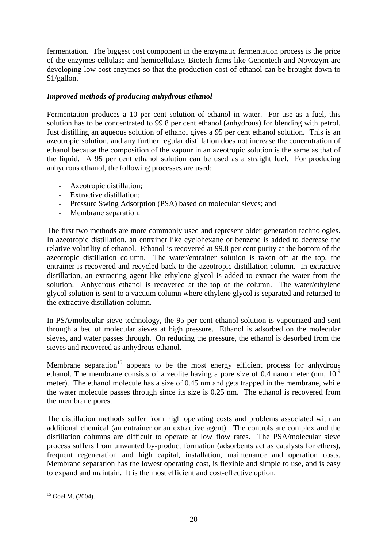<span id="page-19-0"></span>fermentation. The biggest cost component in the enzymatic fermentation process is the price of the enzymes cellulase and hemicellulase. Biotech firms like Genentech and Novozym are developing low cost enzymes so that the production cost of ethanol can be brought down to \$1/gallon.

## *Improved methods of producing anhydrous ethanol*

Fermentation produces a 10 per cent solution of ethanol in water. For use as a fuel, this solution has to be concentrated to 99.8 per cent ethanol (anhydrous) for blending with petrol. Just distilling an aqueous solution of ethanol gives a 95 per cent ethanol solution. This is an azeotropic solution, and any further regular distillation does not increase the concentration of ethanol because the composition of the vapour in an azeotropic solution is the same as that of the liquid. A 95 per cent ethanol solution can be used as a straight fuel. For producing anhydrous ethanol, the following processes are used:

- Azeotropic distillation;
- Extractive distillation;
- Pressure Swing Adsorption (PSA) based on molecular sieves; and
- Membrane separation.

The first two methods are more commonly used and represent older generation technologies. In azeotropic distillation, an entrainer like cyclohexane or benzene is added to decrease the relative volatility of ethanol. Ethanol is recovered at 99.8 per cent purity at the bottom of the azeotropic distillation column. The water/entrainer solution is taken off at the top, the entrainer is recovered and recycled back to the azeotropic distillation column. In extractive distillation, an extracting agent like ethylene glycol is added to extract the water from the solution. Anhydrous ethanol is recovered at the top of the column. The water/ethylene glycol solution is sent to a vacuum column where ethylene glycol is separated and returned to the extractive distillation column.

In PSA/molecular sieve technology, the 95 per cent ethanol solution is vapourized and sent through a bed of molecular sieves at high pressure. Ethanol is adsorbed on the molecular sieves, and water passes through. On reducing the pressure, the ethanol is desorbed from the sieves and recovered as anhydrous ethanol.

Membrane separation<sup>15</sup> appears to be the most energy efficient process for anhydrous ethanol. The membrane consists of a zeolite having a pore size of 0.4 nano meter (nm,  $10^{-9}$ ) meter). The ethanol molecule has a size of 0.45 nm and gets trapped in the membrane, while the water molecule passes through since its size is 0.25 nm. The ethanol is recovered from the membrane pores.

The distillation methods suffer from high operating costs and problems associated with an additional chemical (an entrainer or an extractive agent). The controls are complex and the distillation columns are difficult to operate at low flow rates. The PSA/molecular sieve process suffers from unwanted by-product formation (adsorbents act as catalysts for ethers), frequent regeneration and high capital, installation, maintenance and operation costs. Membrane separation has the lowest operating cost, is flexible and simple to use, and is easy to expand and maintain. It is the most efficient and cost-effective option.

<span id="page-19-1"></span> $15$  Goel M. (2004).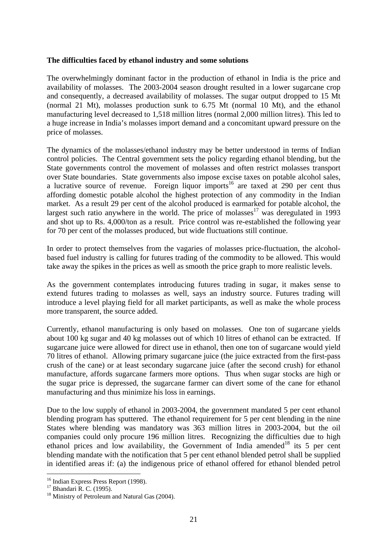#### <span id="page-20-0"></span>**The difficulties faced by ethanol industry and some solutions**

The overwhelmingly dominant factor in the production of ethanol in India is the price and availability of molasses. The 2003-2004 season drought resulted in a lower sugarcane crop and consequently, a decreased availability of molasses. The sugar output dropped to 15 Mt (normal 21 Mt), molasses production sunk to 6.75 Mt (normal 10 Mt), and the ethanol manufacturing level decreased to 1,518 million litres (normal 2,000 million litres). This led to a huge increase in India's molasses import demand and a concomitant upward pressure on the price of molasses.

The dynamics of the molasses/ethanol industry may be better understood in terms of Indian control policies. The Central government sets the policy regarding ethanol blending, but the State governments control the movement of molasses and often restrict molasses transport over State boundaries. State governments also impose excise taxes on potable alcohol sales, a lucrative source of revenue. Foreign liquor imports<sup>16</sup> are taxed at 290 per cent thus affording domestic potable alcohol the highest protection of any commodity in the Indian market. As a result 29 per cent of the alcohol produced is earmarked for potable alcohol, the largest such ratio anywhere in the world. The price of molasses<sup>17</sup> was deregulated in 1993 and shot up to Rs. 4,000/ton as a result. Price control was re-established the following year for 70 per cent of the molasses produced, but wide fluctuations still continue.

In order to protect themselves from the vagaries of molasses price-fluctuation, the alcoholbased fuel industry is calling for futures trading of the commodity to be allowed. This would take away the spikes in the prices as well as smooth the price graph to more realistic levels.

As the government contemplates introducing futures trading in sugar, it makes sense to extend futures trading to molasses as well, says an industry source. Futures trading will introduce a level playing field for all market participants, as well as make the whole process more transparent, the source added.

Currently, ethanol manufacturing is only based on molasses. One ton of sugarcane yields about 100 kg sugar and 40 kg molasses out of which 10 litres of ethanol can be extracted. If sugarcane juice were allowed for direct use in ethanol, then one ton of sugarcane would yield 70 litres of ethanol. Allowing primary sugarcane juice (the juice extracted from the first-pass crush of the cane) or at least secondary sugarcane juice (after the second crush) for ethanol manufacture, affords sugarcane farmers more options. Thus when sugar stocks are high or the sugar price is depressed, the sugarcane farmer can divert some of the cane for ethanol manufacturing and thus minimize his loss in earnings.

Due to the low supply of ethanol in 2003-2004, the government mandated 5 per cent ethanol blending program has sputtered. The ethanol requirement for 5 per cent blending in the nine States where blending was mandatory was 363 million litres in 2003-2004, but the oil companies could only procure 196 million litres. Recognizing the difficulties due to high ethanol prices and low availability, the Government of India amended<sup>18</sup> its 5 per cent blending mandate with the notification that 5 per cent ethanol blended petrol shall be supplied in identified areas if: (a) the indigenous price of ethanol offered for ethanol blended petrol

<span id="page-20-1"></span><sup>&</sup>lt;sup>16</sup> Indian Express Press Report (1998).

<span id="page-20-3"></span><span id="page-20-2"></span>

<sup>&</sup>lt;sup>17</sup> Bhandari R. C. (1995). <sup>18</sup> Ministry of Petroleum and Natural Gas (2004).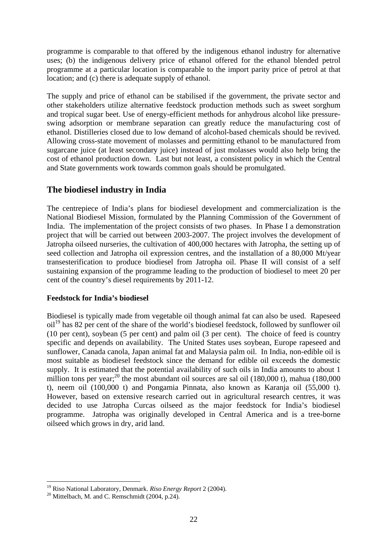<span id="page-21-0"></span>programme is comparable to that offered by the indigenous ethanol industry for alternative uses; (b) the indigenous delivery price of ethanol offered for the ethanol blended petrol programme at a particular location is comparable to the import parity price of petrol at that location; and (c) there is adequate supply of ethanol.

The supply and price of ethanol can be stabilised if the government, the private sector and other stakeholders utilize alternative feedstock production methods such as sweet sorghum and tropical sugar beet. Use of energy-efficient methods for anhydrous alcohol like pressureswing adsorption or membrane separation can greatly reduce the manufacturing cost of ethanol. Distilleries closed due to low demand of alcohol-based chemicals should be revived. Allowing cross-state movement of molasses and permitting ethanol to be manufactured from sugarcane juice (at least secondary juice) instead of just molasses would also help bring the cost of ethanol production down. Last but not least, a consistent policy in which the Central and State governments work towards common goals should be promulgated.

## **The biodiesel industry in India**

The centrepiece of India's plans for biodiesel development and commercialization is the National Biodiesel Mission, formulated by the Planning Commission of the Government of India. The implementation of the project consists of two phases. In Phase I a demonstration project that will be carried out between 2003-2007. The project involves the development of Jatropha oilseed nurseries, the cultivation of 400,000 hectares with Jatropha, the setting up of seed collection and Jatropha oil expression centres, and the installation of a 80,000 Mt/year transesterification to produce biodiesel from Jatropha oil. Phase II will consist of a self sustaining expansion of the programme leading to the production of biodiesel to meet 20 per cent of the country's diesel requirements by 2011-12.

## **Feedstock for India's biodiesel**

Biodiesel is typically made from vegetable oil though animal fat can also be used. Rapeseed oil[19 h](#page-21-1)as 82 per cent of the share of the world's biodiesel feedstock, followed by sunflower oil (10 per cent), soybean (5 per cent) and palm oil (3 per cent). The choice of feed is country specific and depends on availability. The United States uses soybean, Europe rapeseed and sunflower, Canada canola, Japan animal fat and Malaysia palm oil. In India, non-edible oil is most suitable as biodiesel feedstock since the demand for edible oil exceeds the domestic supply. It is estimated that the potential availability of such oils in India amounts to about 1 million tons per year;<sup>20</sup> the most abundant oil sources are sal oil  $(180,000 t)$ , mahua  $(180,000 t)$ t), neem oil (100,000 t) and Pongamia Pinnata, also known as Karanja oil (55,000 t). However, based on extensive research carried out in agricultural research centres, it was decided to use Jatropha Curcas oilseed as the major feedstock for India's biodiesel programme. Jatropha was originally developed in Central America and is a tree-borne oilseed which grows in dry, arid land.

<span id="page-21-1"></span><sup>&</sup>lt;sup>19</sup> Riso National Laboratory, Denmark. *Riso Energy Report* 2 (2004).<br><sup>20</sup> Mittelbach, M. and C. Remschmidt (2004, p.24).

<span id="page-21-2"></span>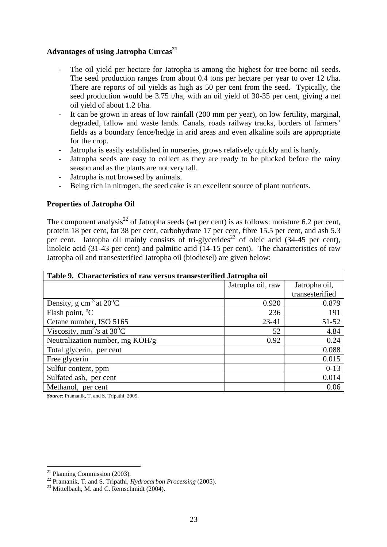## <span id="page-22-0"></span>**Advantages of using Jatropha Curcas[21](#page-22-1)**

- The oil yield per hectare for Jatropha is among the highest for tree-borne oil seeds. The seed production ranges from about 0.4 tons per hectare per year to over 12 t/ha. There are reports of oil yields as high as 50 per cent from the seed. Typically, the seed production would be 3.75 t/ha, with an oil yield of 30-35 per cent, giving a net oil yield of about 1.2 t/ha.
- It can be grown in areas of low rainfall (200 mm per year), on low fertility, marginal, degraded, fallow and waste lands. Canals, roads railway tracks, borders of farmers' fields as a boundary fence/hedge in arid areas and even alkaline soils are appropriate for the crop.
- Jatropha is easily established in nurseries, grows relatively quickly and is hardy.
- Jatropha seeds are easy to collect as they are ready to be plucked before the rainy season and as the plants are not very tall.
- Jatropha is not browsed by animals.
- Being rich in nitrogen, the seed cake is an excellent source of plant nutrients.

#### **Properties of Jatropha Oil**

The component analysis<sup>22</sup> of Jatropha seeds (wt per cent) is as follows: moisture 6.2 per cent, protein 18 per cent, fat 38 per cent, carbohydrate 17 per cent, fibre 15.5 per cent, and ash 5.3 per cent. Jatropha oil mainly consists of tri-glycerides<sup>23</sup> of oleic acid (34-45 per cent), linoleic acid (31-43 per cent) and palmitic acid (14-15 per cent). The characteristics of raw Jatropha oil and transesterified Jatropha oil (biodiesel) are given below:

| Table 9. Characteristics of raw versus transesterified Jatropha oil |                   |                 |  |  |
|---------------------------------------------------------------------|-------------------|-----------------|--|--|
|                                                                     | Jatropha oil, raw | Jatropha oil,   |  |  |
|                                                                     |                   | transesterified |  |  |
| Density, g cm <sup>-3</sup> at $\overline{20^{\circ}C}$             | 0.920             | 0.879           |  |  |
| Flash point, $^{\circ}C$                                            | 236               | 191             |  |  |
| Cetane number, ISO 5165                                             | $23 - 41$         | 51-52           |  |  |
| Viscosity, mm <sup>2</sup> /s at $30^{\circ}$ C                     | 52                | 4.84            |  |  |
| Neutralization number, mg KOH/g                                     | 0.92              | 0.24            |  |  |
| Total glycerin, per cent                                            |                   | 0.088           |  |  |
| Free glycerin                                                       |                   | 0.015           |  |  |
| Sulfur content, ppm                                                 |                   | $0-13$          |  |  |
| Sulfated ash, per cent                                              |                   | 0.014           |  |  |
| Methanol, per cent                                                  |                   | 0.06            |  |  |

*Source:* Pramanik, T. and S. Tripathi, 2005.

<span id="page-22-1"></span> $^{21}$  Planning Commission (2003).

<span id="page-22-2"></span><sup>&</sup>lt;sup>22</sup> Pramanik, T. and S. Tripathi, *Hydrocarbon Processing* (2005).<br><sup>23</sup> Mittelbach, M. and C. Remschmidt (2004).

<span id="page-22-3"></span>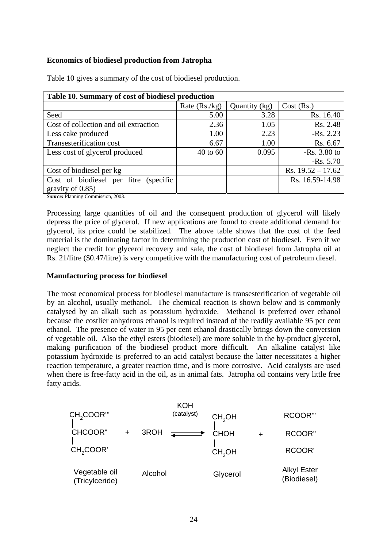## <span id="page-23-0"></span>**Economics of biodiesel production from Jatropha**

| Table 10. Summary of cost of biodiesel production |                 |               |                     |  |  |
|---------------------------------------------------|-----------------|---------------|---------------------|--|--|
|                                                   | Rate $(Rs./kg)$ | Quantity (kg) | Cost (Rs.)          |  |  |
| Seed                                              | 5.00            | 3.28          | Rs. 16.40           |  |  |
| Cost of collection and oil extraction             | 2.36            | 1.05          | Rs. 2.48            |  |  |
| Less cake produced                                | 1.00            | 2.23          | $-Rs. 2.23$         |  |  |
| Transesterification cost                          | 6.67            | 1.00          | Rs. 6.67            |  |  |
| Less cost of glycerol produced                    | 40 to 60        | 0.095         | $-Rs. 3.80$ to      |  |  |
|                                                   |                 |               | $-Rs. 5.70$         |  |  |
| Cost of biodiesel per kg                          |                 |               | Rs. $19.52 - 17.62$ |  |  |
| Cost of biodiesel per litre (specific             |                 |               | Rs. 16.59-14.98     |  |  |
| gravity of 0.85)                                  |                 |               |                     |  |  |

Table 10 gives a summary of the cost of biodiesel production.

*Source:* Planning Commission, 2003.

Processing large quantities of oil and the consequent production of glycerol will likely depress the price of glycerol. If new applications are found to create additional demand for glycerol, its price could be stabilized. The above table shows that the cost of the feed material is the dominating factor in determining the production cost of biodiesel. Even if we neglect the credit for glycerol recovery and sale, the cost of biodiesel from Jatropha oil at Rs. 21/litre (\$0.47/litre) is very competitive with the manufacturing cost of petroleum diesel.

#### **Manufacturing process for biodiesel**

The most economical process for biodiesel manufacture is transesterification of vegetable oil by an alcohol, usually methanol. The chemical reaction is shown below and is commonly catalysed by an alkali such as potassium hydroxide. Methanol is preferred over ethanol because the costlier anhydrous ethanol is required instead of the readily available 95 per cent ethanol. The presence of water in 95 per cent ethanol drastically brings down the conversion of vegetable oil. Also the ethyl esters (biodiesel) are more soluble in the by-product glycerol, making purification of the biodiesel product more difficult. An alkaline catalyst like potassium hydroxide is preferred to an acid catalyst because the latter necessitates a higher reaction temperature, a greater reaction time, and is more corrosive. Acid catalysts are used when there is free-fatty acid in the oil, as in animal fats. Jatropha oil contains very little free fatty acids.

|                                 |         | <b>KOH</b> |                    |                                   |
|---------------------------------|---------|------------|--------------------|-----------------------------------|
| CH <sub>2</sub> COOR"'          |         | (catalyst) | CH <sub>2</sub> OH | RCOOR"                            |
| <b>CHCOOR"</b>                  | 3ROH    |            | <b>CHOH</b>        | <b>RCOOR"</b>                     |
| CH <sub>2</sub> COOR'           |         |            | CH <sub>2</sub> OH | <b>RCOOR'</b>                     |
| Vegetable oil<br>(Tricylceride) | Alcohol |            | Glycerol           | <b>Alkyl Ester</b><br>(Biodiesel) |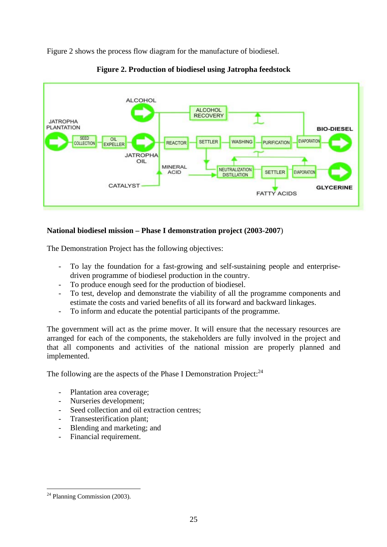<span id="page-24-0"></span>Figure 2 shows the process flow diagram for the manufacture of biodiesel.





## **National biodiesel mission – Phase I demonstration project (2003-2007**)

The Demonstration Project has the following objectives:

- To lay the foundation for a fast-growing and self-sustaining people and enterprisedriven programme of biodiesel production in the country.
- To produce enough seed for the production of biodiesel.
- To test, develop and demonstrate the viability of all the programme components and estimate the costs and varied benefits of all its forward and backward linkages.
- To inform and educate the potential participants of the programme.

The government will act as the prime mover. It will ensure that the necessary resources are arranged for each of the components, the stakeholders are fully involved in the project and that all components and activities of the national mission are properly planned and implemented.

The following are the aspects of the Phase I Demonstration Project:<sup>24</sup>

- Plantation area coverage;
- Nurseries development;
- Seed collection and oil extraction centres;
- Transesterification plant:
- Blending and marketing; and
- Financial requirement.

<span id="page-24-1"></span> $\overline{a}$  $24$  Planning Commission (2003).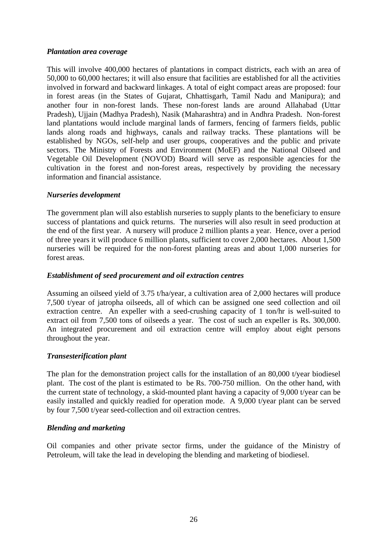#### <span id="page-25-0"></span>*Plantation area coverage*

This will involve 400,000 hectares of plantations in compact districts, each with an area of 50,000 to 60,000 hectares; it will also ensure that facilities are established for all the activities involved in forward and backward linkages. A total of eight compact areas are proposed: four in forest areas (in the States of Gujarat, Chhattisgarh, Tamil Nadu and Manipura); and another four in non-forest lands. These non-forest lands are around Allahabad (Uttar Pradesh), Ujjain (Madhya Pradesh), Nasik (Maharashtra) and in Andhra Pradesh. Non-forest land plantations would include marginal lands of farmers, fencing of farmers fields, public lands along roads and highways, canals and railway tracks. These plantations will be established by NGOs, self-help and user groups, cooperatives and the public and private sectors. The Ministry of Forests and Environment (MoEF) and the National Oilseed and Vegetable Oil Development (NOVOD) Board will serve as responsible agencies for the cultivation in the forest and non-forest areas, respectively by providing the necessary information and financial assistance.

#### *Nurseries development*

The government plan will also establish nurseries to supply plants to the beneficiary to ensure success of plantations and quick returns. The nurseries will also result in seed production at the end of the first year. A nursery will produce 2 million plants a year. Hence, over a period of three years it will produce 6 million plants, sufficient to cover 2,000 hectares. About 1,500 nurseries will be required for the non-forest planting areas and about 1,000 nurseries for forest areas.

#### *Establishment of seed procurement and oil extraction centres*

Assuming an oilseed yield of 3.75 t/ha/year, a cultivation area of 2,000 hectares will produce 7,500 t/year of jatropha oilseeds, all of which can be assigned one seed collection and oil extraction centre. An expeller with a seed-crushing capacity of 1 ton/hr is well-suited to extract oil from 7,500 tons of oilseeds a year. The cost of such an expeller is Rs. 300,000. An integrated procurement and oil extraction centre will employ about eight persons throughout the year.

## *Transesterification plant*

The plan for the demonstration project calls for the installation of an 80,000 t/year biodiesel plant. The cost of the plant is estimated to be Rs. 700-750 million. On the other hand, with the current state of technology, a skid-mounted plant having a capacity of 9,000 t/year can be easily installed and quickly readied for operation mode. A 9,000 t/year plant can be served by four 7,500 t/year seed-collection and oil extraction centres.

#### *Blending and marketing*

Oil companies and other private sector firms, under the guidance of the Ministry of Petroleum, will take the lead in developing the blending and marketing of biodiesel.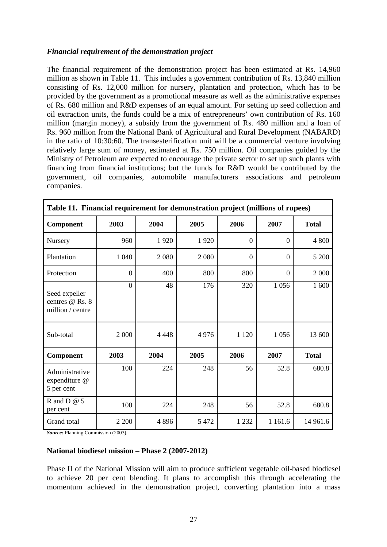### <span id="page-26-0"></span>*Financial requirement of the demonstration project*

The financial requirement of the demonstration project has been estimated at Rs. 14,960 million as shown in Table 11. This includes a government contribution of Rs. 13,840 million consisting of Rs. 12,000 million for nursery, plantation and protection, which has to be provided by the government as a promotional measure as well as the administrative expenses of Rs. 680 million and R&D expenses of an equal amount. For setting up seed collection and oil extraction units, the funds could be a mix of entrepreneurs' own contribution of Rs. 160 million (margin money), a subsidy from the government of Rs. 480 million and a loan of Rs. 960 million from the National Bank of Agricultural and Rural Development (NABARD) in the ratio of 10:30:60. The transesterification unit will be a commercial venture involving relatively large sum of money, estimated at Rs. 750 million. Oil companies guided by the Ministry of Petroleum are expected to encourage the private sector to set up such plants with financing from financial institutions; but the funds for R&D would be contributed by the government, oil companies, automobile manufacturers associations and petroleum companies.

| Table 11. Financial requirement for demonstration project (millions of rupees) |                |         |         |                  |                  |              |
|--------------------------------------------------------------------------------|----------------|---------|---------|------------------|------------------|--------------|
| Component                                                                      | 2003           | 2004    | 2005    | 2006             | 2007             | <b>Total</b> |
| Nursery                                                                        | 960            | 1920    | 1920    | $\theta$         | $\Omega$         | 4 800        |
| Plantation                                                                     | 1 0 4 0        | 2 0 8 0 | 2 0 8 0 | $\boldsymbol{0}$ | $\boldsymbol{0}$ | 5 200        |
| Protection                                                                     | $\theta$       | 400     | 800     | 800              | $\theta$         | 2 000        |
| Seed expeller<br>centres @ Rs. 8<br>million / centre                           | $\overline{0}$ | 48      | 176     | 320              | 1 0 5 6          | 1 600        |
| Sub-total                                                                      | 2 0 0 0        | 4 4 4 8 | 4976    | 1 1 2 0          | 1 0 5 6          | 13 600       |
| Component                                                                      | 2003           | 2004    | 2005    | 2006             | 2007             | <b>Total</b> |
| Administrative<br>expenditure @<br>5 per cent                                  | 100            | 224     | 248     | 56               | 52.8             | 680.8        |
| R and D $@$ 5<br>per cent                                                      | 100            | 224     | 248     | 56               | 52.8             | 680.8        |
| Grand total                                                                    | 2 2 0 0        | 4896    | 5 4 7 2 | 1 2 3 2          | 1 1 6 1 . 6      | 14 961.6     |

*Source:* Planning Commission (2003).

#### **National biodiesel mission – Phase 2 (2007-2012)**

Phase II of the National Mission will aim to produce sufficient vegetable oil-based biodiesel to achieve 20 per cent blending. It plans to accomplish this through accelerating the momentum achieved in the demonstration project, converting plantation into a mass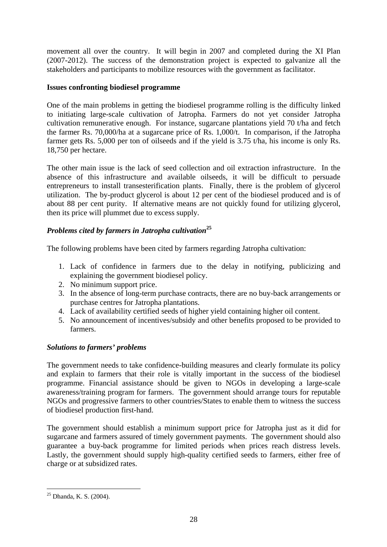<span id="page-27-0"></span>movement all over the country. It will begin in 2007 and completed during the XI Plan (2007-2012). The success of the demonstration project is expected to galvanize all the stakeholders and participants to mobilize resources with the government as facilitator.

## **Issues confronting biodiesel programme**

One of the main problems in getting the biodiesel programme rolling is the difficulty linked to initiating large-scale cultivation of Jatropha. Farmers do not yet consider Jatropha cultivation remunerative enough. For instance, sugarcane plantations yield 70 t/ha and fetch the farmer Rs. 70,000/ha at a sugarcane price of Rs. 1,000/t. In comparison, if the Jatropha farmer gets Rs. 5,000 per ton of oilseeds and if the yield is 3.75 t/ha, his income is only Rs. 18,750 per hectare.

The other main issue is the lack of seed collection and oil extraction infrastructure. In the absence of this infrastructure and available oilseeds, it will be difficult to persuade entrepreneurs to install transesterification plants. Finally, there is the problem of glycerol utilization. The by-product glycerol is about 12 per cent of the biodiesel produced and is of about 88 per cent purity. If alternative means are not quickly found for utilizing glycerol, then its price will plummet due to excess supply.

## *Problems cited by farmers in Jatropha cultivation***[25](#page-27-1)**

The following problems have been cited by farmers regarding Jatropha cultivation:

- 1. Lack of confidence in farmers due to the delay in notifying, publicizing and explaining the government biodiesel policy.
- 2. No minimum support price.
- 3. In the absence of long-term purchase contracts, there are no buy-back arrangements or purchase centres for Jatropha plantations.
- 4. Lack of availability certified seeds of higher yield containing higher oil content.
- 5. No announcement of incentives/subsidy and other benefits proposed to be provided to farmers.

## *Solutions to farmers' problems*

The government needs to take confidence-building measures and clearly formulate its policy and explain to farmers that their role is vitally important in the success of the biodiesel programme. Financial assistance should be given to NGOs in developing a large-scale awareness/training program for farmers. The government should arrange tours for reputable NGOs and progressive farmers to other countries/States to enable them to witness the success of biodiesel production first-hand.

The government should establish a minimum support price for Jatropha just as it did for sugarcane and farmers assured of timely government payments. The government should also guarantee a buy-back programme for limited periods when prices reach distress levels. Lastly, the government should supply high-quality certified seeds to farmers, either free of charge or at subsidized rates.

<span id="page-27-1"></span> $25$  Dhanda, K. S. (2004).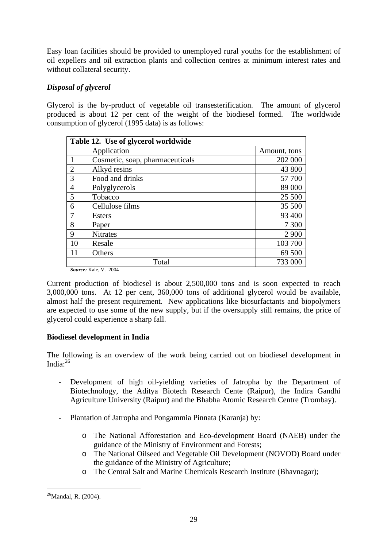<span id="page-28-0"></span>Easy loan facilities should be provided to unemployed rural youths for the establishment of oil expellers and oil extraction plants and collection centres at minimum interest rates and without collateral security.

## *Disposal of glycerol*

Glycerol is the by-product of vegetable oil transesterification. The amount of glycerol produced is about 12 per cent of the weight of the biodiesel formed. The worldwide consumption of glycerol (1995 data) is as follows:

|                | Table 12. Use of glycerol worldwide |              |  |  |  |
|----------------|-------------------------------------|--------------|--|--|--|
|                | Application                         | Amount, tons |  |  |  |
| $\mathbf{1}$   | Cosmetic, soap, pharmaceuticals     | 202 000      |  |  |  |
| $\overline{2}$ | Alkyd resins                        | 43 800       |  |  |  |
| 3              | Food and drinks                     | 57 700       |  |  |  |
| $\overline{4}$ | Polyglycerols                       | 89 000       |  |  |  |
| 5              | Tobacco                             | 25 500       |  |  |  |
| 6              | Cellulose films                     | 35 500       |  |  |  |
| $\overline{7}$ | Esters                              | 93 400       |  |  |  |
| 8              | Paper                               | 7 300        |  |  |  |
| 9              | <b>Nitrates</b>                     | 2 9 0 0      |  |  |  |
| 10             | Resale                              | 103 700      |  |  |  |
| 11             | Others                              | 69 500       |  |  |  |
|                | Total                               | 733 000      |  |  |  |
|                | <i>Source:</i> Kale, V. 2004        |              |  |  |  |

Current production of biodiesel is about 2,500,000 tons and is soon expected to reach 3,000,000 tons. At 12 per cent, 360,000 tons of additional glycerol would be available, almost half the present requirement. New applications like biosurfactants and biopolymers are expected to use some of the new supply, but if the oversupply still remains, the price of glycerol could experience a sharp fall.

## **Biodiesel development in India**

The following is an overview of the work being carried out on biodiesel development in India: $^{26}$  $^{26}$  $^{26}$ 

- Development of high oil-yielding varieties of Jatropha by the Department of Biotechnology, the Aditya Biotech Research Cente (Raipur), the Indira Gandhi Agriculture University (Raipur) and the Bhabha Atomic Research Centre (Trombay).
- Plantation of Jatropha and Pongammia Pinnata (Karanja) by:
	- o The National Afforestation and Eco-development Board (NAEB) under the guidance of the Ministry of Environment and Forests;
	- o The National Oilseed and Vegetable Oil Development (NOVOD) Board under the guidance of the Ministry of Agriculture;
	- o The Central Salt and Marine Chemicals Research Institute (Bhavnagar);

<span id="page-28-1"></span> $^{26}$ Mandal, R. (2004).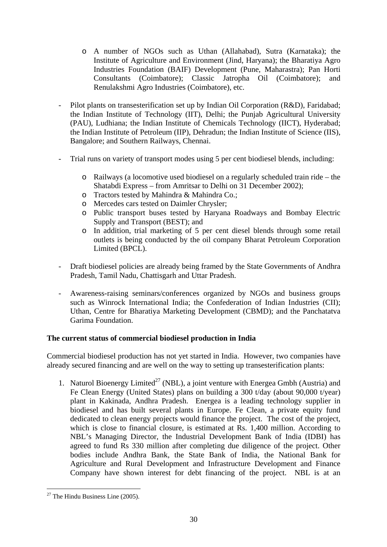- <span id="page-29-0"></span>o A number of NGOs such as Uthan (Allahabad), Sutra (Karnataka); the Institute of Agriculture and Environment (Jind, Haryana); the Bharatiya Agro Industries Foundation (BAIF) Development (Pune, Maharastra); Pan Horti Consultants (Coimbatore); Classic Jatropha Oil (Coimbatore); and Renulakshmi Agro Industries (Coimbatore), etc.
- Pilot plants on transesterification set up by Indian Oil Corporation (R&D), Faridabad; the Indian Institute of Technology (IIT), Delhi; the Punjab Agricultural University (PAU), Ludhiana; the Indian Institute of Chemicals Technology (IICT), Hyderabad; the Indian Institute of Petroleum (IIP), Dehradun; the Indian Institute of Science (IIS), Bangalore; and Southern Railways, Chennai.
- Trial runs on variety of transport modes using 5 per cent biodiesel blends, including:
	- o Railways (a locomotive used biodiesel on a regularly scheduled train ride the Shatabdi Express – from Amritsar to Delhi on 31 December 2002);
	- o Tractors tested by Mahindra & Mahindra Co.;
	- o Mercedes cars tested on Daimler Chrysler;
	- o Public transport buses tested by Haryana Roadways and Bombay Electric Supply and Transport (BEST); and
	- o In addition, trial marketing of 5 per cent diesel blends through some retail outlets is being conducted by the oil company Bharat Petroleum Corporation Limited (BPCL).
- Draft biodiesel policies are already being framed by the State Governments of Andhra Pradesh, Tamil Nadu, Chattisgarh and Uttar Pradesh.
- Awareness-raising seminars/conferences organized by NGOs and business groups such as Winrock International India; the Confederation of Indian Industries (CII); Uthan, Centre for Bharatiya Marketing Development (CBMD); and the Panchatatva Garima Foundation.

## **The current status of commercial biodiesel production in India**

Commercial biodiesel production has not yet started in India. However, two companies have already secured financing and are well on the way to setting up transesterification plants:

1. Naturol Bioenergy Limited<sup>27</sup> (NBL), a joint venture with Energea Gmbh (Austria) and Fe Clean Energy (United States) plans on building a 300 t/day (about 90,000 t/year) plant in Kakinada, Andhra Pradesh. Energea is a leading technology supplier in biodiesel and has built several plants in Europe. Fe Clean, a private equity fund dedicated to clean energy projects would finance the project. The cost of the project, which is close to financial closure, is estimated at Rs. 1,400 million. According to NBL's Managing Director, the Industrial Development Bank of India (IDBI) has agreed to fund Rs 330 million after completing due diligence of the project. Other bodies include Andhra Bank, the State Bank of India, the National Bank for Agriculture and Rural Development and Infrastructure Development and Finance Company have shown interest for debt financing of the project. NBL is at an

<span id="page-29-1"></span> $\overline{a}$  $27$  The Hindu Business Line (2005).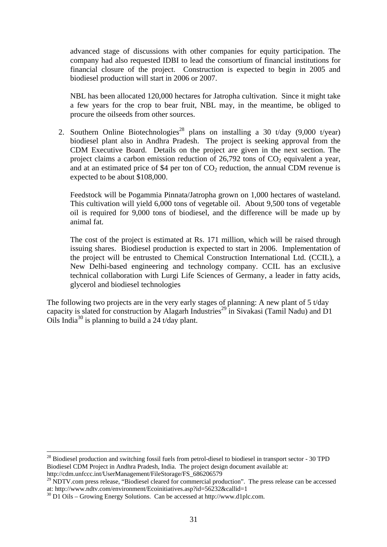advanced stage of discussions with other companies for equity participation. The company had also requested IDBI to lead the consortium of financial institutions for financial closure of the project. Construction is expected to begin in 2005 and biodiesel production will start in 2006 or 2007.

NBL has been allocated 120,000 hectares for Jatropha cultivation. Since it might take a few years for the crop to bear fruit, NBL may, in the meantime, be obliged to procure the oilseeds from other sources.

2. Southern Online Biotechnologies<sup>28</sup> plans on installing a 30 t/day (9,000 t/year) biodiesel plant also in Andhra Pradesh. The project is seeking approval from the CDM Executive Board. Details on the project are given in the next section. The project claims a carbon emission reduction of  $26,792$  tons of  $CO<sub>2</sub>$  equivalent a year, and at an estimated price of \$4 per ton of  $CO<sub>2</sub>$  reduction, the annual CDM revenue is expected to be about \$108,000.

Feedstock will be Pogammia Pinnata/Jatropha grown on 1,000 hectares of wasteland. This cultivation will yield 6,000 tons of vegetable oil. About 9,500 tons of vegetable oil is required for 9,000 tons of biodiesel, and the difference will be made up by animal fat.

The cost of the project is estimated at Rs. 171 million, which will be raised through issuing shares. Biodiesel production is expected to start in 2006. Implementation of the project will be entrusted to Chemical Construction International Ltd. (CCIL), a New Delhi-based engineering and technology company. CCIL has an exclusive technical collaboration with Lurgi Life Sciences of Germany, a leader in fatty acids, glycerol and biodiesel technologies

The following two projects are in the very early stages of planning: A new plant of 5 t/day capacity is slated for construction by Alagarh Industries<sup>29</sup> in Sivakasi (Tamil Nadu) and D1 Oils India<sup>30</sup> is planning to build a  $24$  t/day plant.

<span id="page-30-0"></span> $^{28}$  Biodiesel production and switching fossil fuels from petrol-diesel to biodiesel in transport sector - 30 TPD Biodiesel CDM Project in Andhra Pradesh, India. The project design document available at: http://cdm.unfccc.int/UserManagement/FileStorage/FS\_686206579

<span id="page-30-1"></span><sup>&</sup>lt;sup>29</sup> NDTV.com press release, "Biodiesel cleared for commercial production". The press release can be accessed at: http://www.ndtv.com/environment/Ecoinitiatives.asp?id=56232&callid=1 30 D1 Oils – Growing Energy Solutions. Can be accessed at http://www.d1plc.com.

<span id="page-30-2"></span>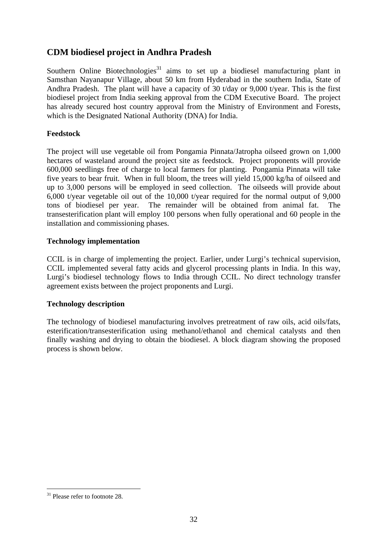## <span id="page-31-0"></span>**CDM biodiesel project in Andhra Pradesh**

Southern Online Biotechnologies<sup>31</sup> aims to set up a biodiesel manufacturing plant in Samsthan Nayanapur Village, about 50 km from Hyderabad in the southern India, State of Andhra Pradesh. The plant will have a capacity of 30 t/day or 9,000 t/year. This is the first biodiesel project from India seeking approval from the CDM Executive Board. The project has already secured host country approval from the Ministry of Environment and Forests, which is the Designated National Authority (DNA) for India.

## **Feedstock**

The project will use vegetable oil from Pongamia Pinnata/Jatropha oilseed grown on 1,000 hectares of wasteland around the project site as feedstock. Project proponents will provide 600,000 seedlings free of charge to local farmers for planting. Pongamia Pinnata will take five years to bear fruit. When in full bloom, the trees will yield 15,000 kg/ha of oilseed and up to 3,000 persons will be employed in seed collection. The oilseeds will provide about 6,000 t/year vegetable oil out of the 10,000 t/year required for the normal output of 9,000 tons of biodiesel per year. The remainder will be obtained from animal fat. The transesterification plant will employ 100 persons when fully operational and 60 people in the installation and commissioning phases.

## **Technology implementation**

CCIL is in charge of implementing the project. Earlier, under Lurgi's technical supervision, CCIL implemented several fatty acids and glycerol processing plants in India. In this way, Lurgi's biodiesel technology flows to India through CCIL. No direct technology transfer agreement exists between the project proponents and Lurgi.

## **Technology description**

The technology of biodiesel manufacturing involves pretreatment of raw oils, acid oils/fats, esterification/transesterification using methanol/ethanol and chemical catalysts and then finally washing and drying to obtain the biodiesel. A block diagram showing the proposed process is shown below.

<span id="page-31-1"></span><sup>&</sup>lt;sup>31</sup> Please refer to footnote 28.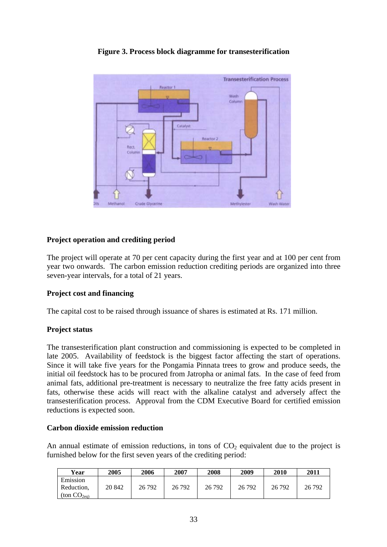<span id="page-32-0"></span>

## **Figure 3. Process block diagramme for transesterification**

## **Project operation and crediting period**

The project will operate at 70 per cent capacity during the first year and at 100 per cent from year two onwards. The carbon emission reduction crediting periods are organized into three seven-year intervals, for a total of 21 years.

## **Project cost and financing**

The capital cost to be raised through issuance of shares is estimated at Rs. 171 million.

## **Project status**

The transesterification plant construction and commissioning is expected to be completed in late 2005. Availability of feedstock is the biggest factor affecting the start of operations. Since it will take five years for the Pongamia Pinnata trees to grow and produce seeds, the initial oil feedstock has to be procured from Jatropha or animal fats. In the case of feed from animal fats, additional pre-treatment is necessary to neutralize the free fatty acids present in fats, otherwise these acids will react with the alkaline catalyst and adversely affect the transesterification process. Approval from the CDM Executive Board for certified emission reductions is expected soon.

## **Carbon dioxide emission reduction**

An annual estimate of emission reductions, in tons of  $CO<sub>2</sub>$  equivalent due to the project is furnished below for the first seven years of the crediting period:

| Year                                     | 2005   | 2006   | 2007   | 2008   | 2009   | 2010   | 2011   |
|------------------------------------------|--------|--------|--------|--------|--------|--------|--------|
| Emission<br>Reduction,<br>(ton $CO2eq$ ) | 20 842 | 26 792 | 26 792 | 26 792 | 26 792 | 26 792 | 26 792 |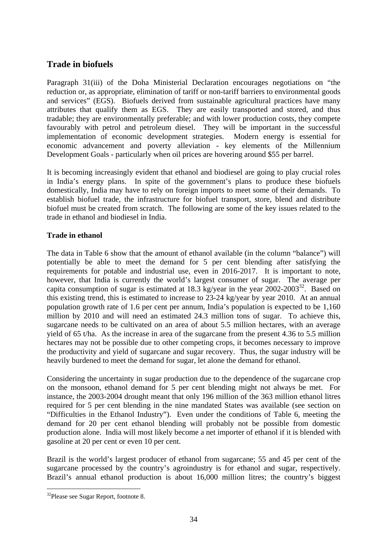## <span id="page-33-0"></span>**Trade in biofuels**

Paragraph 31(iii) of the Doha Ministerial Declaration encourages negotiations on "the reduction or, as appropriate, elimination of tariff or non-tariff barriers to environmental goods and services" (EGS). Biofuels derived from sustainable agricultural practices have many attributes that qualify them as EGS. They are easily transported and stored, and thus tradable; they are environmentally preferable; and with lower production costs, they compete favourably with petrol and petroleum diesel. They will be important in the successful implementation of economic development strategies. Modern energy is essential for economic advancement and poverty alleviation - key elements of the Millennium Development Goals - particularly when oil prices are hovering around \$55 per barrel.

It is becoming increasingly evident that ethanol and biodiesel are going to play crucial roles in India's energy plans. In spite of the government's plans to produce these biofuels domestically, India may have to rely on foreign imports to meet some of their demands. To establish biofuel trade, the infrastructure for biofuel transport, store, blend and distribute biofuel must be created from scratch. The following are some of the key issues related to the trade in ethanol and biodiesel in India.

## **Trade in ethanol**

The data in Table 6 show that the amount of ethanol available (in the column "balance") will potentially be able to meet the demand for 5 per cent blending after satisfying the requirements for potable and industrial use, even in 2016-2017. It is important to note, however, that India is currently the world's largest consumer of sugar. The average per capita consumption of sugar is estimated at 18.3 kg/year in the year  $2002-2003^{32}$ . Based on this existing trend, this is estimated to increase to 23-24 kg/year by year 2010. At an annual population growth rate of 1.6 per cent per annum, India's population is expected to be 1,160 million by 2010 and will need an estimated 24.3 million tons of sugar. To achieve this, sugarcane needs to be cultivated on an area of about 5.5 million hectares, with an average yield of 65 t/ha. As the increase in area of the sugarcane from the present 4.36 to 5.5 million hectares may not be possible due to other competing crops, it becomes necessary to improve the productivity and yield of sugarcane and sugar recovery. Thus, the sugar industry will be heavily burdened to meet the demand for sugar, let alone the demand for ethanol.

Considering the uncertainty in sugar production due to the dependence of the sugarcane crop on the monsoon, ethanol demand for 5 per cent blending might not always be met. For instance, the 2003-2004 drought meant that only 196 million of the 363 million ethanol litres required for 5 per cent blending in the nine mandated States was available (see section on "Difficulties in the Ethanol Industry"). Even under the conditions of Table 6, meeting the demand for 20 per cent ethanol blending will probably not be possible from domestic production alone. India will most likely become a net importer of ethanol if it is blended with gasoline at 20 per cent or even 10 per cent.

Brazil is the world's largest producer of ethanol from sugarcane; 55 and 45 per cent of the sugarcane processed by the country's agroindustry is for ethanol and sugar, respectively. Brazil's annual ethanol production is about 16,000 million litres; the country's biggest

<span id="page-33-1"></span><sup>32</sup>Please see Sugar Report, footnote 8.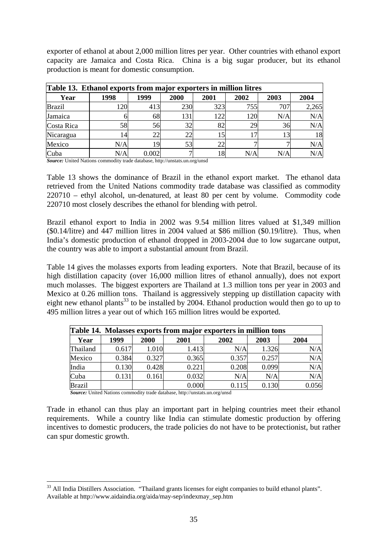<span id="page-34-0"></span>exporter of ethanol at about 2,000 million litres per year. Other countries with ethanol export capacity are Jamaica and Costa Rica. China is a big sugar producer, but its ethanol production is meant for domestic consumption.

| <b>Table 13. Ethanol exports from major exporters in million litres</b> |      |       |             |             |      |      |       |
|-------------------------------------------------------------------------|------|-------|-------------|-------------|------|------|-------|
| Year                                                                    | 1998 | 1999  | <b>2000</b> | <b>2001</b> | 2002 | 2003 | 2004  |
| <b>Brazil</b>                                                           | 120  | 413   | 230         | 323         | 755  | 707  | 2,265 |
| Jamaica                                                                 |      | 68    | 131         | 122         | 120  | N/A  | N/A   |
| Costa Rica                                                              | 58   | 56    | 32          | 82          | 29   | 36   | N/A   |
| Nicaragua                                                               | 14   | 22    | 22          |             | 17   | 13   | 18    |
| Mexico                                                                  | N/A  | 19    | 53          | 22          |      |      | N/A   |
| Cuba                                                                    | N/A  | 0.002 |             | 18          | N/A  | N/A  | N/A   |

*Source:* United Nations commodity trade database, http://unstats.un.org/unsd

Table 13 shows the dominance of Brazil in the ethanol export market. The ethanol data retrieved from the United Nations commodity trade database was classified as commodity 220710 – ethyl alcohol, un-denatured, at least 80 per cent by volume. Commodity code 220710 most closely describes the ethanol for blending with petrol.

Brazil ethanol export to India in 2002 was 9.54 million litres valued at \$1,349 million (\$0.14/litre) and 447 million litres in 2004 valued at \$86 million (\$0.19/litre). Thus, when India's domestic production of ethanol dropped in 2003-2004 due to low sugarcane output, the country was able to import a substantial amount from Brazil.

Table 14 gives the molasses exports from leading exporters. Note that Brazil, because of its high distillation capacity (over 16,000 million litres of ethanol annually), does not export much molasses. The biggest exporters are Thailand at 1.3 million tons per year in 2003 and Mexico at 0.26 million tons. Thailand is aggressively stepping up distillation capacity with eight new ethanol plants<sup>33</sup> to be installed by 2004. Ethanol production would then go to up to 495 million litres a year out of which 165 million litres would be exported.

|               |       |       |       | Table 14. Molasses exports from major exporters in million tons |       |       |
|---------------|-------|-------|-------|-----------------------------------------------------------------|-------|-------|
| Year          | 1999  | 2000  | 2001  | 2002                                                            | 2003  | 2004  |
| Thailand      | 0.617 | 1.010 | 1.413 | N/A                                                             | 1.326 | N/A   |
| Mexico        | 0.384 | 0.327 | 0.365 | 0.357                                                           | 0.257 | N/A   |
| India         | 0.130 | 0.428 | 0.221 | 0.208                                                           | 0.099 | N/A   |
| Cuba          | 0.131 | 0.161 | 0.032 | N/A                                                             | N/A   | N/A   |
| <b>Brazil</b> |       |       | 0.000 | 0.115                                                           | 0.130 | 0.056 |

*Source:* United Nations commodity trade database, http://unstats.un.org/unsd

 $\overline{a}$ 

Trade in ethanol can thus play an important part in helping countries meet their ethanol requirements. While a country like India can stimulate domestic production by offering incentives to domestic producers, the trade policies do not have to be protectionist, but rather can spur domestic growth.

<span id="page-34-1"></span><sup>&</sup>lt;sup>33</sup> All India Distillers Association. "Thailand grants licenses for eight companies to build ethanol plants". Available at http://www.aidaindia.org/aida/may-sep/indexmay\_sep.htm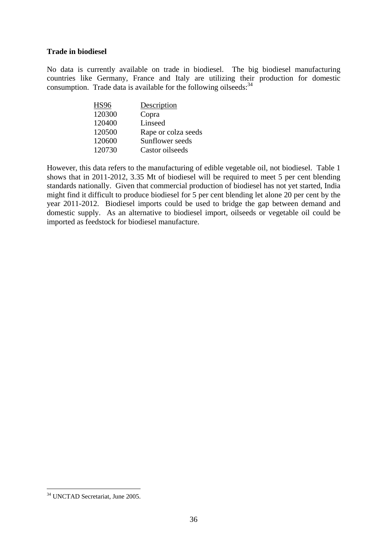#### <span id="page-35-0"></span>**Trade in biodiesel**

No data is currently available on trade in biodiesel. The big biodiesel manufacturing countries like Germany, France and Italy are utilizing their production for domestic consumption. Trade data is available for the following oilseeds:  $34$ 

| <b>HS96</b> | Description         |
|-------------|---------------------|
| 120300      | Copra               |
| 120400      | Linseed             |
| 120500      | Rape or colza seeds |
| 120600      | Sunflower seeds     |
| 120730      | Castor oilseeds     |

However, this data refers to the manufacturing of edible vegetable oil, not biodiesel. Table 1 shows that in 2011-2012, 3.35 Mt of biodiesel will be required to meet 5 per cent blending standards nationally. Given that commercial production of biodiesel has not yet started, India might find it difficult to produce biodiesel for 5 per cent blending let alone 20 per cent by the year 2011-2012. Biodiesel imports could be used to bridge the gap between demand and domestic supply. As an alternative to biodiesel import, oilseeds or vegetable oil could be imported as feedstock for biodiesel manufacture.

<span id="page-35-1"></span><sup>&</sup>lt;sup>34</sup> UNCTAD Secretariat, June 2005.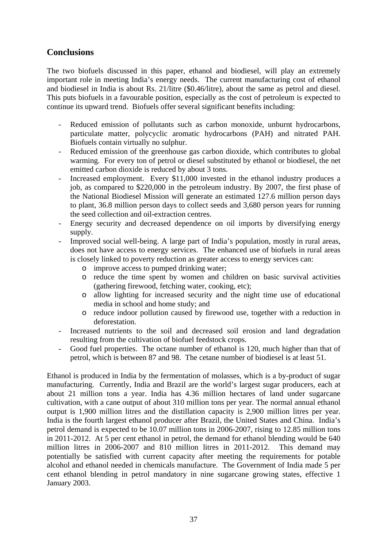## <span id="page-36-0"></span>**Conclusions**

The two biofuels discussed in this paper, ethanol and biodiesel, will play an extremely important role in meeting India's energy needs. The current manufacturing cost of ethanol and biodiesel in India is about Rs. 21/litre (\$0.46/litre), about the same as petrol and diesel. This puts biofuels in a favourable position, especially as the cost of petroleum is expected to continue its upward trend. Biofuels offer several significant benefits including:

- Reduced emission of pollutants such as carbon monoxide, unburnt hydrocarbons, particulate matter, polycyclic aromatic hydrocarbons (PAH) and nitrated PAH. Biofuels contain virtually no sulphur.
- Reduced emission of the greenhouse gas carbon dioxide, which contributes to global warming. For every ton of petrol or diesel substituted by ethanol or biodiesel, the net emitted carbon dioxide is reduced by about 3 tons.
- Increased employment. Every \$11,000 invested in the ethanol industry produces a job, as compared to \$220,000 in the petroleum industry. By 2007, the first phase of the National Biodiesel Mission will generate an estimated 127.6 million person days to plant, 36.8 million person days to collect seeds and 3,680 person years for running the seed collection and oil-extraction centres.
- Energy security and decreased dependence on oil imports by diversifying energy supply.
- Improved social well-being. A large part of India's population, mostly in rural areas, does not have access to energy services. The enhanced use of biofuels in rural areas is closely linked to poverty reduction as greater access to energy services can:
	- o improve access to pumped drinking water;
	- o reduce the time spent by women and children on basic survival activities (gathering firewood, fetching water, cooking, etc);
	- o allow lighting for increased security and the night time use of educational media in school and home study; and
	- o reduce indoor pollution caused by firewood use, together with a reduction in deforestation.
- Increased nutrients to the soil and decreased soil erosion and land degradation resulting from the cultivation of biofuel feedstock crops.
- Good fuel properties. The octane number of ethanol is 120, much higher than that of petrol, which is between 87 and 98. The cetane number of biodiesel is at least 51.

Ethanol is produced in India by the fermentation of molasses, which is a by-product of sugar manufacturing. Currently, India and Brazil are the world's largest sugar producers, each at about 21 million tons a year. India has 4.36 million hectares of land under sugarcane cultivation, with a cane output of about 310 million tons per year. The normal annual ethanol output is 1,900 million litres and the distillation capacity is 2,900 million litres per year. India is the fourth largest ethanol producer after Brazil, the United States and China. India's petrol demand is expected to be 10.07 million tons in 2006-2007, rising to 12.85 million tons in 2011-2012. At 5 per cent ethanol in petrol, the demand for ethanol blending would be 640 million litres in 2006-2007 and 810 million litres in 2011-2012. This demand may potentially be satisfied with current capacity after meeting the requirements for potable alcohol and ethanol needed in chemicals manufacture. The Government of India made 5 per cent ethanol blending in petrol mandatory in nine sugarcane growing states, effective 1 January 2003.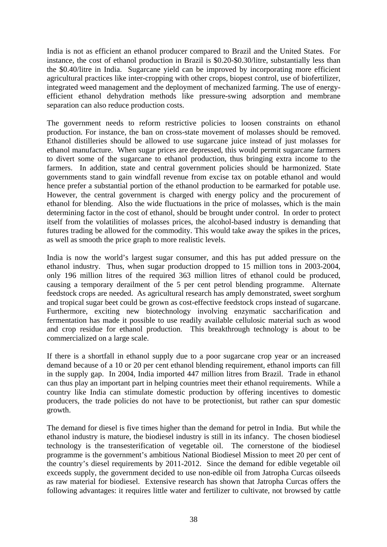India is not as efficient an ethanol producer compared to Brazil and the United States. For instance, the cost of ethanol production in Brazil is \$0.20-\$0.30/litre, substantially less than the \$0.40/litre in India. Sugarcane yield can be improved by incorporating more efficient agricultural practices like inter-cropping with other crops, biopest control, use of biofertilizer, integrated weed management and the deployment of mechanized farming. The use of energyefficient ethanol dehydration methods like pressure-swing adsorption and membrane separation can also reduce production costs.

The government needs to reform restrictive policies to loosen constraints on ethanol production. For instance, the ban on cross-state movement of molasses should be removed. Ethanol distilleries should be allowed to use sugarcane juice instead of just molasses for ethanol manufacture. When sugar prices are depressed, this would permit sugarcane farmers to divert some of the sugarcane to ethanol production, thus bringing extra income to the farmers. In addition, state and central government policies should be harmonized. State governments stand to gain windfall revenue from excise tax on potable ethanol and would hence prefer a substantial portion of the ethanol production to be earmarked for potable use. However, the central government is charged with energy policy and the procurement of ethanol for blending. Also the wide fluctuations in the price of molasses, which is the main determining factor in the cost of ethanol, should be brought under control. In order to protect itself from the volatilities of molasses prices, the alcohol-based industry is demanding that futures trading be allowed for the commodity. This would take away the spikes in the prices, as well as smooth the price graph to more realistic levels.

India is now the world's largest sugar consumer, and this has put added pressure on the ethanol industry. Thus, when sugar production dropped to 15 million tons in 2003-2004, only 196 million litres of the required 363 million litres of ethanol could be produced, causing a temporary derailment of the 5 per cent petrol blending programme. Alternate feedstock crops are needed. As agricultural research has amply demonstrated, sweet sorghum and tropical sugar beet could be grown as cost-effective feedstock crops instead of sugarcane. Furthermore, exciting new biotechnology involving enzymatic saccharification and fermentation has made it possible to use readily available cellulosic material such as wood and crop residue for ethanol production. This breakthrough technology is about to be commercialized on a large scale.

If there is a shortfall in ethanol supply due to a poor sugarcane crop year or an increased demand because of a 10 or 20 per cent ethanol blending requirement, ethanol imports can fill in the supply gap. In 2004, India imported 447 million litres from Brazil. Trade in ethanol can thus play an important part in helping countries meet their ethanol requirements. While a country like India can stimulate domestic production by offering incentives to domestic producers, the trade policies do not have to be protectionist, but rather can spur domestic growth.

The demand for diesel is five times higher than the demand for petrol in India. But while the ethanol industry is mature, the biodiesel industry is still in its infancy. The chosen biodiesel technology is the transesterification of vegetable oil. The cornerstone of the biodiesel programme is the government's ambitious National Biodiesel Mission to meet 20 per cent of the country's diesel requirements by 2011-2012. Since the demand for edible vegetable oil exceeds supply, the government decided to use non-edible oil from Jatropha Curcas oilseeds as raw material for biodiesel. Extensive research has shown that Jatropha Curcas offers the following advantages: it requires little water and fertilizer to cultivate, not browsed by cattle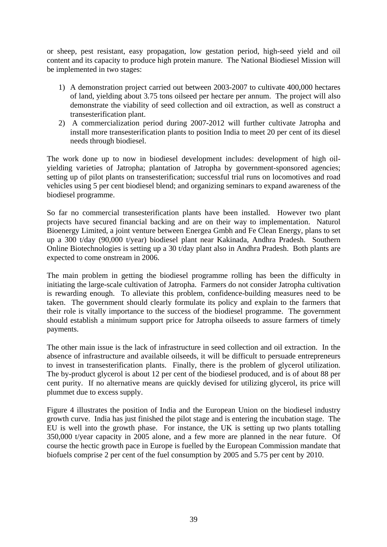or sheep, pest resistant, easy propagation, low gestation period, high-seed yield and oil content and its capacity to produce high protein manure. The National Biodiesel Mission will be implemented in two stages:

- 1) A demonstration project carried out between 2003-2007 to cultivate 400,000 hectares of land, yielding about 3.75 tons oilseed per hectare per annum. The project will also demonstrate the viability of seed collection and oil extraction, as well as construct a transesterification plant.
- 2) A commercialization period during 2007-2012 will further cultivate Jatropha and install more transesterification plants to position India to meet 20 per cent of its diesel needs through biodiesel.

The work done up to now in biodiesel development includes: development of high oilyielding varieties of Jatropha; plantation of Jatropha by government-sponsored agencies; setting up of pilot plants on transesterification; successful trial runs on locomotives and road vehicles using 5 per cent biodiesel blend; and organizing seminars to expand awareness of the biodiesel programme.

So far no commercial transesterification plants have been installed. However two plant projects have secured financial backing and are on their way to implementation. Naturol Bioenergy Limited, a joint venture between Energea Gmbh and Fe Clean Energy, plans to set up a 300 t/day (90,000 t/year) biodiesel plant near Kakinada, Andhra Pradesh. Southern Online Biotechnologies is setting up a 30 t/day plant also in Andhra Pradesh. Both plants are expected to come onstream in 2006.

The main problem in getting the biodiesel programme rolling has been the difficulty in initiating the large-scale cultivation of Jatropha. Farmers do not consider Jatropha cultivation is rewarding enough. To alleviate this problem, confidence-building measures need to be taken. The government should clearly formulate its policy and explain to the farmers that their role is vitally importance to the success of the biodiesel programme. The government should establish a minimum support price for Jatropha oilseeds to assure farmers of timely payments.

The other main issue is the lack of infrastructure in seed collection and oil extraction. In the absence of infrastructure and available oilseeds, it will be difficult to persuade entrepreneurs to invest in transesterification plants. Finally, there is the problem of glycerol utilization. The by-product glycerol is about 12 per cent of the biodiesel produced, and is of about 88 per cent purity. If no alternative means are quickly devised for utilizing glycerol, its price will plummet due to excess supply.

Figure 4 illustrates the position of India and the European Union on the biodiesel industry growth curve. India has just finished the pilot stage and is entering the incubation stage. The EU is well into the growth phase. For instance, the UK is setting up two plants totalling 350,000 t/year capacity in 2005 alone, and a few more are planned in the near future. Of course the hectic growth pace in Europe is fuelled by the European Commission mandate that biofuels comprise 2 per cent of the fuel consumption by 2005 and 5.75 per cent by 2010.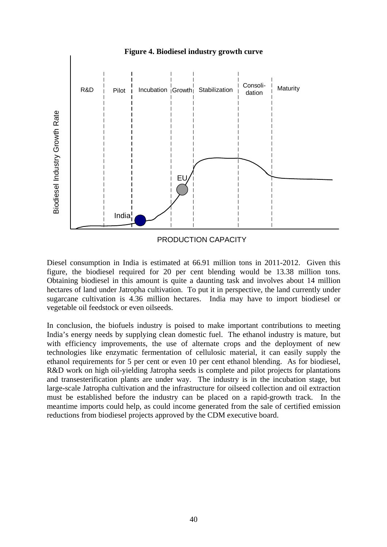<span id="page-39-0"></span>

Diesel consumption in India is estimated at 66.91 million tons in 2011-2012. Given this figure, the biodiesel required for 20 per cent blending would be 13.38 million tons. Obtaining biodiesel in this amount is quite a daunting task and involves about 14 million hectares of land under Jatropha cultivation. To put it in perspective, the land currently under sugarcane cultivation is 4.36 million hectares. India may have to import biodiesel or vegetable oil feedstock or even oilseeds.

In conclusion, the biofuels industry is poised to make important contributions to meeting India's energy needs by supplying clean domestic fuel. The ethanol industry is mature, but with efficiency improvements, the use of alternate crops and the deployment of new technologies like enzymatic fermentation of cellulosic material, it can easily supply the ethanol requirements for 5 per cent or even 10 per cent ethanol blending. As for biodiesel, R&D work on high oil-yielding Jatropha seeds is complete and pilot projects for plantations and transesterification plants are under way. The industry is in the incubation stage, but large-scale Jatropha cultivation and the infrastructure for oilseed collection and oil extraction must be established before the industry can be placed on a rapid-growth track. In the meantime imports could help, as could income generated from the sale of certified emission reductions from biodiesel projects approved by the CDM executive board.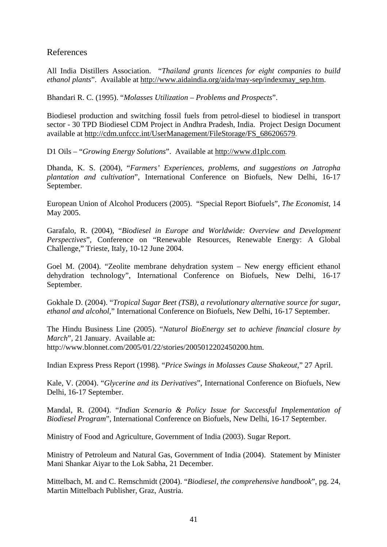## <span id="page-40-0"></span>References

All India Distillers Association. "*Thailand grants licences for eight companies to build ethanol plants*". Available at [http://www.aidaindia.org/aida/may-sep/indexmay\\_sep.htm](http://www.aidaindia.org/aida/may-sep/indexmay_sep.htm).

Bhandari R. C. (1995). "*Molasses Utilization – Problems and Prospects*".

Biodiesel production and switching fossil fuels from petrol-diesel to biodiesel in transport sector - 30 TPD Biodiesel CDM Project in Andhra Pradesh, India. Project Design Document available at [http://cdm.unfccc.int/UserManagement/FileStorage/FS\\_686206579.](http://cdm.unfccc.int/UserManagement/FileStorage/FS_686206579)

D1 Oils – "*Growing Energy Solutions*". Available at [http://www.d1plc.com.](http://www.d1plc.com/)

Dhanda, K. S. (2004), "*Farmers' Experiences, problems, and suggestions on Jatropha plantation and cultivation*", International Conference on Biofuels, New Delhi, 16-17 September.

European Union of Alcohol Producers (2005). "Special Report Biofuels", *The Economist*, 14 May 2005.

Garafalo, R. (2004), "*Biodiesel in Europe and Worldwide: Overview and Development Perspectives*", Conference on "Renewable Resources, Renewable Energy: A Global Challenge," Trieste, Italy, 10-12 June 2004.

Goel M. (2004). "Zeolite membrane dehydration system – New energy efficient ethanol dehydration technology", International Conference on Biofuels, New Delhi, 16-17 September.

Gokhale D. (2004). "*Tropical Sugar Beet (TSB), a revolutionary alternative source for sugar, ethanol and alcohol*," International Conference on Biofuels, New Delhi, 16-17 September.

The Hindu Business Line (2005). "*Naturol BioEnergy set to achieve financial closure by March*", 21 January. Available at: http://www.blonnet.com/2005/01/22/stories/2005012202450200.htm.

Indian Express Press Report (1998). "*Price Swings in Molasses Cause Shakeout*," 27 April.

Kale, V. (2004). "*Glycerine and its Derivatives*", International Conference on Biofuels, New Delhi, 16-17 September.

Mandal, R. (2004). "*Indian Scenario & Policy Issue for Successful Implementation of Biodiesel Program*", International Conference on Biofuels, New Delhi, 16-17 September.

Ministry of Food and Agriculture, Government of India (2003). Sugar Report.

Ministry of Petroleum and Natural Gas, Government of India (2004). Statement by Minister Mani Shankar Aiyar to the Lok Sabha, 21 December.

Mittelbach, M. and C. Remschmidt (2004). "*Biodiesel, the comprehensive handbook*", pg. 24, Martin Mittelbach Publisher, Graz, Austria.